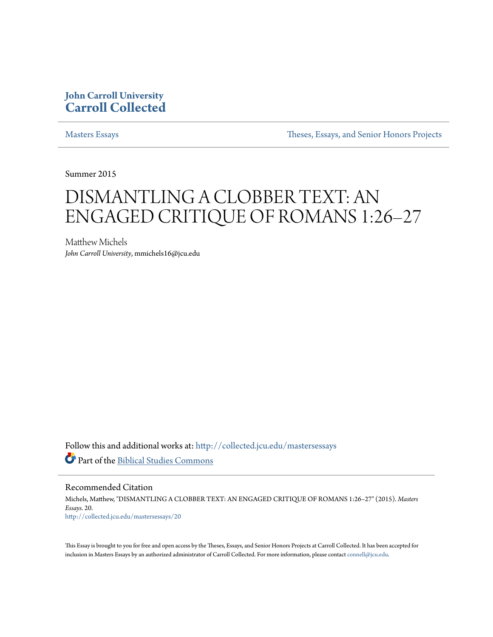# **John Carroll University [Carroll Collected](http://collected.jcu.edu?utm_source=collected.jcu.edu%2Fmastersessays%2F20&utm_medium=PDF&utm_campaign=PDFCoverPages)**

[Masters Essays](http://collected.jcu.edu/mastersessays?utm_source=collected.jcu.edu%2Fmastersessays%2F20&utm_medium=PDF&utm_campaign=PDFCoverPages) [Theses, Essays, and Senior Honors Projects](http://collected.jcu.edu/thesesandessays?utm_source=collected.jcu.edu%2Fmastersessays%2F20&utm_medium=PDF&utm_campaign=PDFCoverPages)

Summer 2015

# DISMANTLING A CLOBBER TEXT: AN ENGAGED CRITIQUE OF ROMANS 1:26–27

Matthew Michels *John Carroll University*, mmichels16@jcu.edu

Follow this and additional works at: [http://collected.jcu.edu/mastersessays](http://collected.jcu.edu/mastersessays?utm_source=collected.jcu.edu%2Fmastersessays%2F20&utm_medium=PDF&utm_campaign=PDFCoverPages) Part of the [Biblical Studies Commons](http://network.bepress.com/hgg/discipline/539?utm_source=collected.jcu.edu%2Fmastersessays%2F20&utm_medium=PDF&utm_campaign=PDFCoverPages)

Recommended Citation Michels, Matthew, "DISMANTLING A CLOBBER TEXT: AN ENGAGED CRITIQUE OF ROMANS 1:26–27" (2015). *Masters Essays*. 20. [http://collected.jcu.edu/mastersessays/20](http://collected.jcu.edu/mastersessays/20?utm_source=collected.jcu.edu%2Fmastersessays%2F20&utm_medium=PDF&utm_campaign=PDFCoverPages)

This Essay is brought to you for free and open access by the Theses, Essays, and Senior Honors Projects at Carroll Collected. It has been accepted for inclusion in Masters Essays by an authorized administrator of Carroll Collected. For more information, please contact [connell@jcu.edu](mailto:connell@jcu.edu).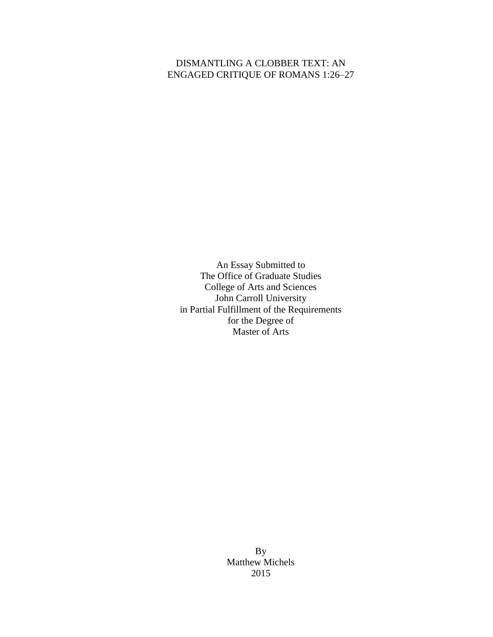## DISMANTLING A CLOBBER TEXT: AN ENGAGED CRITIQUE OF ROMANS 1:26–27

An Essay Submitted to The Office of Graduate Studies College of Arts and Sciences John Carroll University in Partial Fulfillment of the Requirements for the Degree of Master of Arts

> By Matthew Michels 2015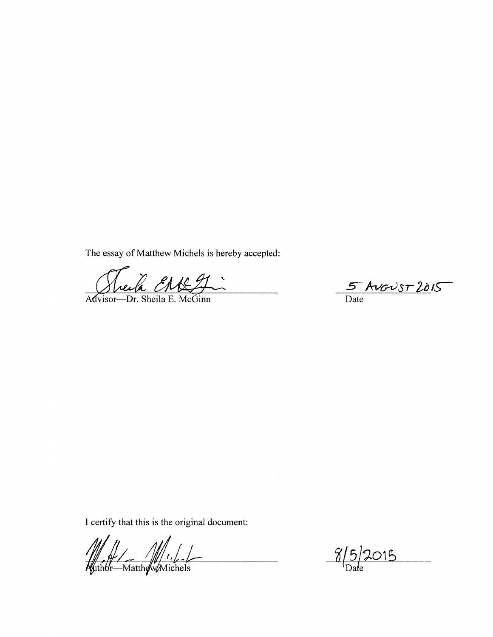The essay of Matthew Michels is hereby accepted:

B ENRIT  $\tilde{\zeta}$ 

 $McG$ inn Advisor-Dr. Sheila E.

 $5$  AVGUST 2015

I certify that this is the original document:

 $\frac{1}{\sqrt{1-\frac{1}{2}}}$ 

W/W/W/W/W

 $8/5/2015$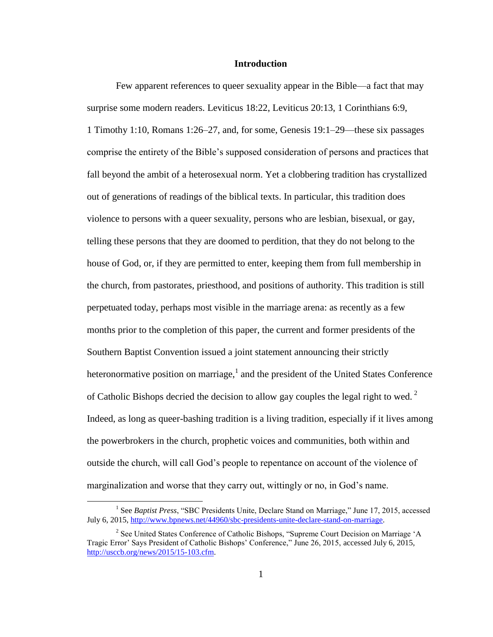### **Introduction**

Few apparent references to queer sexuality appear in the Bible—a fact that may surprise some modern readers. Leviticus 18:22, Leviticus 20:13, 1 Corinthians 6:9, 1 Timothy 1:10, Romans 1:26–27, and, for some, Genesis 19:1–29—these six passages comprise the entirety of the Bible's supposed consideration of persons and practices that fall beyond the ambit of a heterosexual norm. Yet a clobbering tradition has crystallized out of generations of readings of the biblical texts. In particular, this tradition does violence to persons with a queer sexuality, persons who are lesbian, bisexual, or gay, telling these persons that they are doomed to perdition, that they do not belong to the house of God, or, if they are permitted to enter, keeping them from full membership in the church, from pastorates, priesthood, and positions of authority. This tradition is still perpetuated today, perhaps most visible in the marriage arena: as recently as a few months prior to the completion of this paper, the current and former presidents of the Southern Baptist Convention issued a joint statement announcing their strictly heteronormative position on marriage, $<sup>1</sup>$  and the president of the United States Conference</sup> of Catholic Bishops decried the decision to allow gay couples the legal right to wed.<sup>2</sup> Indeed, as long as queer-bashing tradition is a living tradition, especially if it lives among the powerbrokers in the church, prophetic voices and communities, both within and outside the church, will call God's people to repentance on account of the violence of marginalization and worse that they carry out, wittingly or no, in God's name.

<sup>&</sup>lt;sup>1</sup> See *Baptist Press*, "SBC Presidents Unite, Declare Stand on Marriage," June 17, 2015, accessed July 6, 2015, [http://www.bpnews.net/44960/sbc-presidents-unite-declare-stand-on-marriage.](http://www.bpnews.net/44960/sbc-presidents-unite-declare-stand-on-marriage)

<sup>&</sup>lt;sup>2</sup> See United States Conference of Catholic Bishops, "Supreme Court Decision on Marriage 'A Tragic Error' Says President of Catholic Bishops' Conference," June 26, 2015, accessed July 6, 2015, [http://usccb.org/news/2015/15-103.cfm.](http://usccb.org/news/2015/15-103.cfm)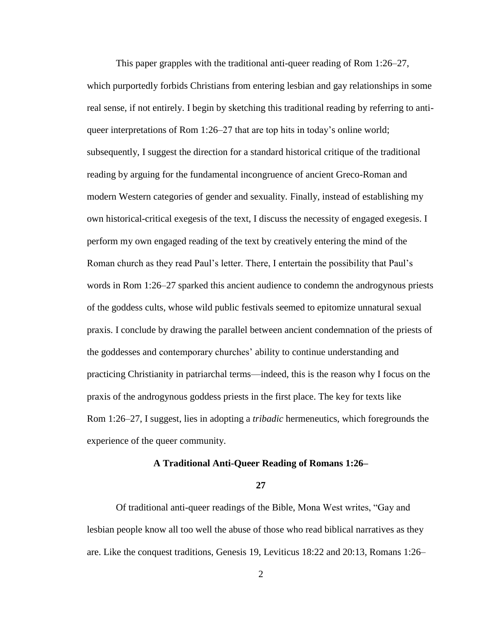This paper grapples with the traditional anti-queer reading of Rom 1:26–27, which purportedly forbids Christians from entering lesbian and gay relationships in some real sense, if not entirely. I begin by sketching this traditional reading by referring to antiqueer interpretations of Rom 1:26–27 that are top hits in today's online world; subsequently, I suggest the direction for a standard historical critique of the traditional reading by arguing for the fundamental incongruence of ancient Greco-Roman and modern Western categories of gender and sexuality. Finally, instead of establishing my own historical-critical exegesis of the text, I discuss the necessity of engaged exegesis. I perform my own engaged reading of the text by creatively entering the mind of the Roman church as they read Paul's letter. There, I entertain the possibility that Paul's words in Rom 1:26–27 sparked this ancient audience to condemn the androgynous priests of the goddess cults, whose wild public festivals seemed to epitomize unnatural sexual praxis. I conclude by drawing the parallel between ancient condemnation of the priests of the goddesses and contemporary churches' ability to continue understanding and practicing Christianity in patriarchal terms—indeed, this is the reason why I focus on the praxis of the androgynous goddess priests in the first place. The key for texts like Rom 1:26–27, I suggest, lies in adopting a *tribadic* hermeneutics, which foregrounds the experience of the queer community.

### **A Traditional Anti-Queer Reading of Romans 1:26–**

### **27**

Of traditional anti-queer readings of the Bible, Mona West writes, "Gay and lesbian people know all too well the abuse of those who read biblical narratives as they are. Like the conquest traditions, Genesis 19, Leviticus 18:22 and 20:13, Romans 1:26–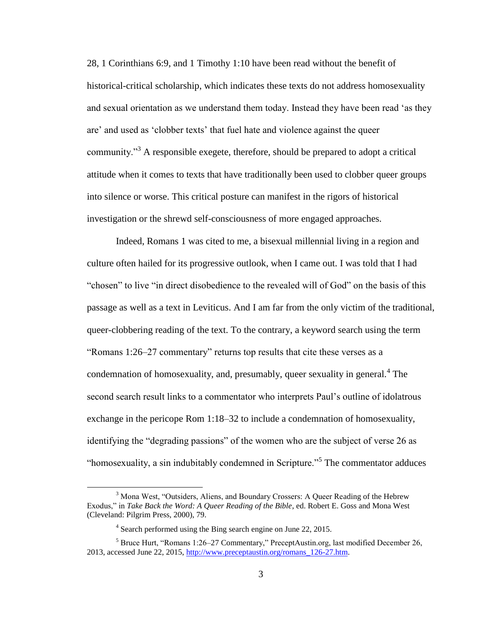28, 1 Corinthians 6:9, and 1 Timothy 1:10 have been read without the benefit of historical-critical scholarship, which indicates these texts do not address homosexuality and sexual orientation as we understand them today. Instead they have been read 'as they are' and used as 'clobber texts' that fuel hate and violence against the queer community.<sup>33</sup> A responsible exegete, therefore, should be prepared to adopt a critical attitude when it comes to texts that have traditionally been used to clobber queer groups into silence or worse. This critical posture can manifest in the rigors of historical investigation or the shrewd self-consciousness of more engaged approaches.

Indeed, Romans 1 was cited to me, a bisexual millennial living in a region and culture often hailed for its progressive outlook, when I came out. I was told that I had "chosen" to live "in direct disobedience to the revealed will of God" on the basis of this passage as well as a text in Leviticus. And I am far from the only victim of the traditional, queer-clobbering reading of the text. To the contrary, a keyword search using the term "Romans 1:26–27 commentary" returns top results that cite these verses as a condemnation of homosexuality, and, presumably, queer sexuality in general.<sup>4</sup> The second search result links to a commentator who interprets Paul's outline of idolatrous exchange in the pericope Rom 1:18–32 to include a condemnation of homosexuality, identifying the "degrading passions" of the women who are the subject of verse 26 as "homosexuality, a sin indubitably condemned in Scripture."<sup>5</sup> The commentator adduces

<sup>&</sup>lt;sup>3</sup> Mona West, "Outsiders, Aliens, and Boundary Crossers: A Queer Reading of the Hebrew Exodus," in *Take Back the Word: A Queer Reading of the Bible*, ed. Robert E. Goss and Mona West (Cleveland: Pilgrim Press, 2000), 79.

<sup>&</sup>lt;sup>4</sup> Search performed using the Bing search engine on June 22, 2015.

<sup>5</sup> Bruce Hurt, "Romans 1:26–27 Commentary," PreceptAustin.org, last modified December 26, 2013, accessed June 22, 2015, [http://www.preceptaustin.org/romans\\_126-27.htm.](http://www.preceptaustin.org/romans_126-27.htm)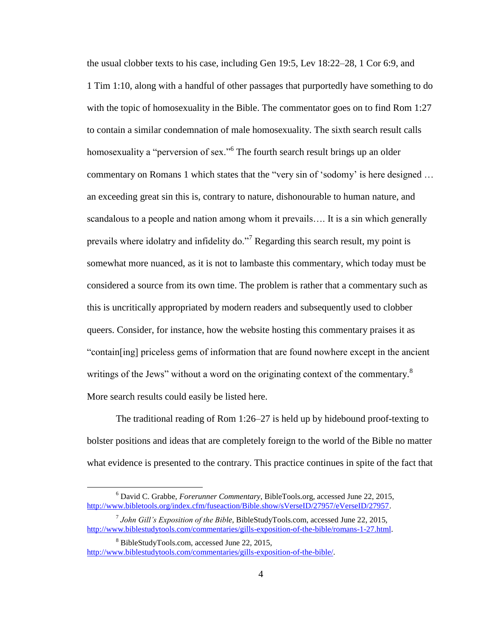the usual clobber texts to his case, including Gen 19:5, Lev 18:22–28, 1 Cor 6:9, and 1 Tim 1:10, along with a handful of other passages that purportedly have something to do with the topic of homosexuality in the Bible. The commentator goes on to find Rom 1:27 to contain a similar condemnation of male homosexuality. The sixth search result calls homosexuality a "perversion of sex."<sup>6</sup> The fourth search result brings up an older commentary on Romans 1 which states that the "very sin of 'sodomy' is here designed … an exceeding great sin this is, contrary to nature, dishonourable to human nature, and scandalous to a people and nation among whom it prevails…. It is a sin which generally prevails where idolatry and infidelity do."<sup>7</sup> Regarding this search result, my point is somewhat more nuanced, as it is not to lambaste this commentary, which today must be considered a source from its own time. The problem is rather that a commentary such as this is uncritically appropriated by modern readers and subsequently used to clobber queers. Consider, for instance, how the website hosting this commentary praises it as "contain[ing] priceless gems of information that are found nowhere except in the ancient writings of the Jews" without a word on the originating context of the commentary.<sup>8</sup> More search results could easily be listed here.

The traditional reading of Rom 1:26–27 is held up by hidebound proof-texting to bolster positions and ideas that are completely foreign to the world of the Bible no matter what evidence is presented to the contrary. This practice continues in spite of the fact that

<sup>6</sup> David C. Grabbe, *Forerunner Commentary*, BibleTools.org, accessed June 22, 2015, [http://www.bibletools.org/index.cfm/fuseaction/Bible.show/sVerseID/27957/eVerseID/27957.](http://www.bibletools.org/index.cfm/fuseaction/Bible.show/sVerseID/27957/eVerseID/27957)

<sup>7</sup> *John Gill's Exposition of the Bible*, BibleStudyTools.com, accessed June 22, 2015, [http://www.biblestudytools.com/commentaries/gills-exposition-of-the-bible/romans-1-27.html.](http://www.biblestudytools.com/commentaries/gills-exposition-of-the-bible/romans-1-27.html)

<sup>8</sup> BibleStudyTools.com, accessed June 22, 2015, [http://www.biblestudytools.com/commentaries/gills-exposition-of-the-bible/.](http://www.biblestudytools.com/commentaries/gills-exposition-of-the-bible/)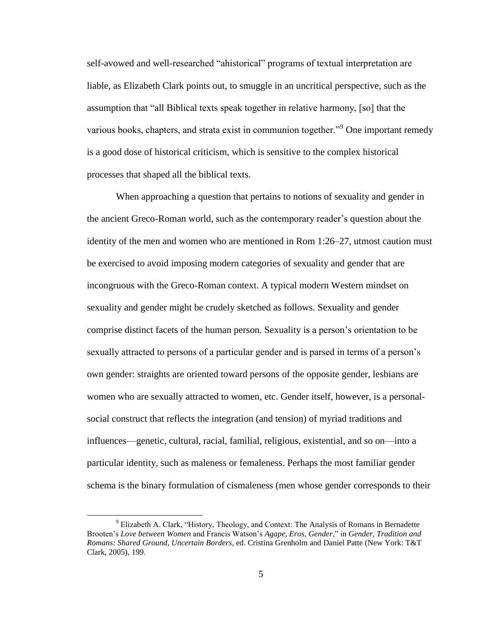self-avowed and well-researched "ahistorical" programs of textual interpretation are liable, as Elizabeth Clark points out, to smuggle in an uncritical perspective, such as the assumption that "all Biblical texts speak together in relative harmony, [so] that the various books, chapters, and strata exist in communion together.<sup>"9</sup> One important remedy is a good dose of historical criticism, which is sensitive to the complex historical processes that shaped all the biblical texts.

When approaching a question that pertains to notions of sexuality and gender in the ancient Greco-Roman world, such as the contemporary reader's question about the identity of the men and women who are mentioned in Rom 1:26–27, utmost caution must be exercised to avoid imposing modern categories of sexuality and gender that are incongruous with the Greco-Roman context. A typical modern Western mindset on sexuality and gender might be crudely sketched as follows. Sexuality and gender comprise distinct facets of the human person. Sexuality is a person's orientation to be sexually attracted to persons of a particular gender and is parsed in terms of a person's own gender: straights are oriented toward persons of the opposite gender, lesbians are women who are sexually attracted to women, etc. Gender itself, however, is a personalsocial construct that reflects the integration (and tension) of myriad traditions and influences—genetic, cultural, racial, familial, religious, existential, and so on—into a particular identity, such as maleness or femaleness. Perhaps the most familiar gender schema is the binary formulation of cismaleness (men whose gender corresponds to their

<sup>&</sup>lt;sup>9</sup> Elizabeth A. Clark, "History, Theology, and Context: The Analysis of Romans in Bernadette Brooten's *Love between Women* and Francis Watson's *Agape, Eros, Gender*," in *Gender, Tradition and Romans: Shared Ground, Uncertain Borders*, ed. Cristina Grenholm and Daniel Patte (New York: T&T Clark, 2005), 199.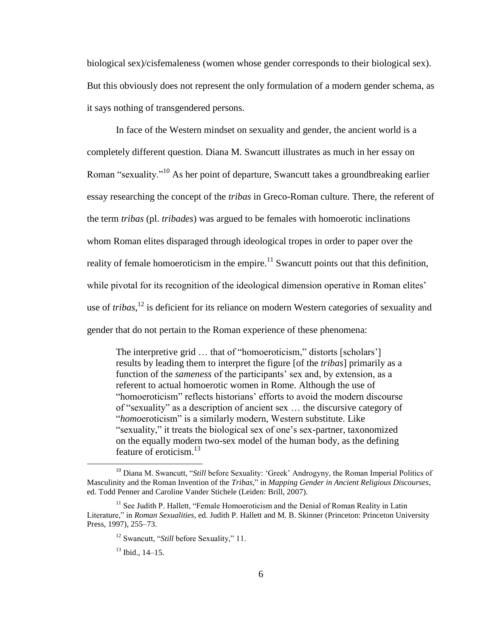biological sex)/cisfemaleness (women whose gender corresponds to their biological sex). But this obviously does not represent the only formulation of a modern gender schema, as it says nothing of transgendered persons.

In face of the Western mindset on sexuality and gender, the ancient world is a completely different question. Diana M. Swancutt illustrates as much in her essay on Roman "sexuality."<sup>10</sup> As her point of departure, Swancutt takes a groundbreaking earlier essay researching the concept of the *tribas* in Greco-Roman culture. There, the referent of the term *tribas* (pl. *tribades*) was argued to be females with homoerotic inclinations whom Roman elites disparaged through ideological tropes in order to paper over the reality of female homoeroticism in the empire.<sup>11</sup> Swancutt points out that this definition, while pivotal for its recognition of the ideological dimension operative in Roman elites' use of *tribas*, <sup>12</sup> is deficient for its reliance on modern Western categories of sexuality and gender that do not pertain to the Roman experience of these phenomena:

The interpretive grid ... that of "homoeroticism," distorts [scholars'] results by leading them to interpret the figure [of the *tribas*] primarily as a function of the *sameness* of the participants' sex and, by extension, as a referent to actual homoerotic women in Rome. Although the use of "homoeroticism" reflects historians' efforts to avoid the modern discourse of "sexuality" as a description of ancient sex … the discursive category of "*homo*eroticism" is a similarly modern, Western substitute. Like "sexuality," it treats the biological sex of one's sex-partner, taxonomized on the equally modern two-sex model of the human body, as the defining feature of eroticism. $^{13}$ 

<sup>&</sup>lt;sup>10</sup> Diana M. Swancutt, "*Still* before Sexuality: 'Greek' Androgyny, the Roman Imperial Politics of Masculinity and the Roman Invention of the *Tribas*," in *Mapping Gender in Ancient Religious Discourses*, ed. Todd Penner and Caroline Vander Stichele (Leiden: Brill, 2007).

<sup>&</sup>lt;sup>11</sup> See Judith P. Hallett, "Female Homoeroticism and the Denial of Roman Reality in Latin Literature," in *Roman Sexualities*, ed. Judith P. Hallett and M. B. Skinner (Princeton: Princeton University Press, 1997), 255–73.

<sup>12</sup> Swancutt, "*Still* before Sexuality," 11.

 $13$  Ibid.,  $14-15$ .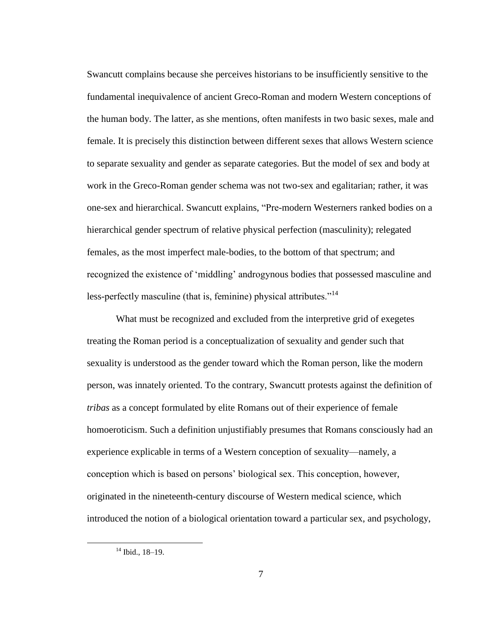Swancutt complains because she perceives historians to be insufficiently sensitive to the fundamental inequivalence of ancient Greco-Roman and modern Western conceptions of the human body. The latter, as she mentions, often manifests in two basic sexes, male and female. It is precisely this distinction between different sexes that allows Western science to separate sexuality and gender as separate categories. But the model of sex and body at work in the Greco-Roman gender schema was not two-sex and egalitarian; rather, it was one-sex and hierarchical. Swancutt explains, "Pre-modern Westerners ranked bodies on a hierarchical gender spectrum of relative physical perfection (masculinity); relegated females, as the most imperfect male-bodies, to the bottom of that spectrum; and recognized the existence of 'middling' androgynous bodies that possessed masculine and less-perfectly masculine (that is, feminine) physical attributes.<sup>"14</sup>

What must be recognized and excluded from the interpretive grid of exegetes treating the Roman period is a conceptualization of sexuality and gender such that sexuality is understood as the gender toward which the Roman person, like the modern person, was innately oriented. To the contrary, Swancutt protests against the definition of *tribas* as a concept formulated by elite Romans out of their experience of female homoeroticism. Such a definition unjustifiably presumes that Romans consciously had an experience explicable in terms of a Western conception of sexuality—namely, a conception which is based on persons' biological sex. This conception, however, originated in the nineteenth-century discourse of Western medical science, which introduced the notion of a biological orientation toward a particular sex, and psychology,

<sup>14</sup> Ibid., 18–19.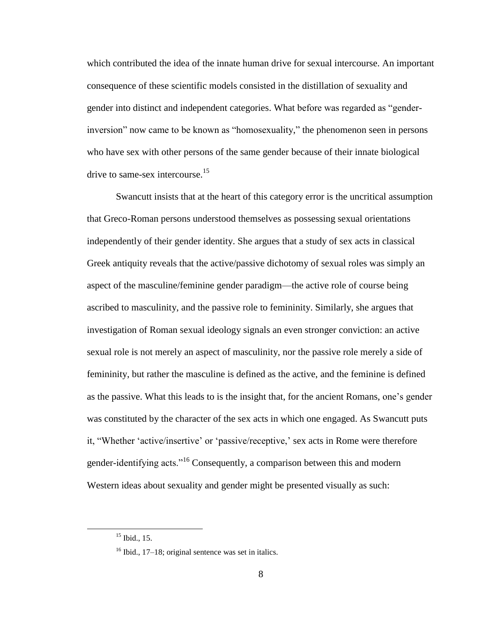which contributed the idea of the innate human drive for sexual intercourse. An important consequence of these scientific models consisted in the distillation of sexuality and gender into distinct and independent categories. What before was regarded as "genderinversion" now came to be known as "homosexuality," the phenomenon seen in persons who have sex with other persons of the same gender because of their innate biological drive to same-sex intercourse.<sup>15</sup>

Swancutt insists that at the heart of this category error is the uncritical assumption that Greco-Roman persons understood themselves as possessing sexual orientations independently of their gender identity. She argues that a study of sex acts in classical Greek antiquity reveals that the active/passive dichotomy of sexual roles was simply an aspect of the masculine/feminine gender paradigm—the active role of course being ascribed to masculinity, and the passive role to femininity. Similarly, she argues that investigation of Roman sexual ideology signals an even stronger conviction: an active sexual role is not merely an aspect of masculinity, nor the passive role merely a side of femininity, but rather the masculine is defined as the active, and the feminine is defined as the passive. What this leads to is the insight that, for the ancient Romans, one's gender was constituted by the character of the sex acts in which one engaged. As Swancutt puts it, "Whether 'active/insertive' or 'passive/receptive,' sex acts in Rome were therefore gender-identifying acts."<sup>16</sup> Consequently, a comparison between this and modern Western ideas about sexuality and gender might be presented visually as such:

 $15$  Ibid., 15.

 $16$  Ibid., 17–18; original sentence was set in italics.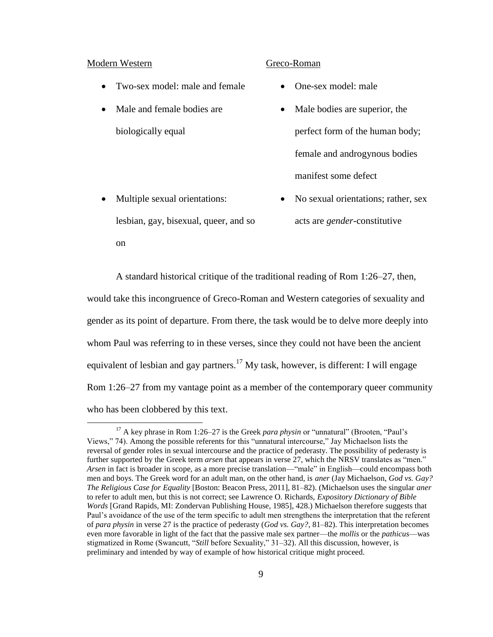### Modern Western Greco-Roman

 $\overline{a}$ 

- Two-sex model: male and female One-sex model: male
- Male and female bodies are biologically equal
- 
- Male bodies are superior, the perfect form of the human body; female and androgynous bodies manifest some defect
- Multiple sexual orientations: lesbian, gay, bisexual, queer, and so on • No sexual orientations; rather, sex acts are *gender*-constitutive

A standard historical critique of the traditional reading of Rom 1:26–27, then,

would take this incongruence of Greco-Roman and Western categories of sexuality and gender as its point of departure. From there, the task would be to delve more deeply into whom Paul was referring to in these verses, since they could not have been the ancient equivalent of lesbian and gay partners.<sup>17</sup> My task, however, is different: I will engage Rom 1:26–27 from my vantage point as a member of the contemporary queer community who has been clobbered by this text.

<sup>&</sup>lt;sup>17</sup> A key phrase in Rom 1:26–27 is the Greek *para physin* or "unnatural" (Brooten, "Paul's Views," 74). Among the possible referents for this "unnatural intercourse," Jay Michaelson lists the reversal of gender roles in sexual intercourse and the practice of pederasty. The possibility of pederasty is further supported by the Greek term *arsen* that appears in verse 27, which the NRSV translates as "men." *Arsen* in fact is broader in scope, as a more precise translation—"male" in English—could encompass both men and boys. The Greek word for an adult man, on the other hand, is *aner* (Jay Michaelson, *God vs. Gay? The Religious Case for Equality* [Boston: Beacon Press, 2011], 81–82). (Michaelson uses the singular *aner* to refer to adult men, but this is not correct; see Lawrence O. Richards, *Expository Dictionary of Bible Words* [Grand Rapids, MI: Zondervan Publishing House, 1985], 428.) Michaelson therefore suggests that Paul's avoidance of the use of the term specific to adult men strengthens the interpretation that the referent of *para physin* in verse 27 is the practice of pederasty (*God vs. Gay?*, 81–82). This interpretation becomes even more favorable in light of the fact that the passive male sex partner—the *mollis* or the *pathicus*—was stigmatized in Rome (Swancutt, "*Still* before Sexuality," 31–32). All this discussion, however, is preliminary and intended by way of example of how historical critique might proceed.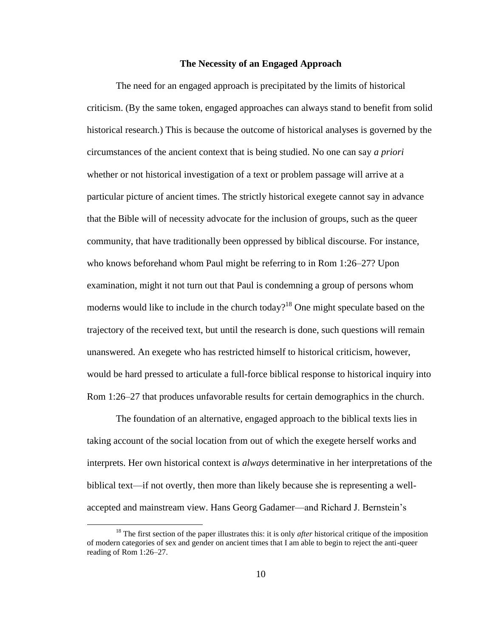### **The Necessity of an Engaged Approach**

The need for an engaged approach is precipitated by the limits of historical criticism. (By the same token, engaged approaches can always stand to benefit from solid historical research.) This is because the outcome of historical analyses is governed by the circumstances of the ancient context that is being studied. No one can say *a priori* whether or not historical investigation of a text or problem passage will arrive at a particular picture of ancient times. The strictly historical exegete cannot say in advance that the Bible will of necessity advocate for the inclusion of groups, such as the queer community, that have traditionally been oppressed by biblical discourse. For instance, who knows beforehand whom Paul might be referring to in Rom 1:26–27? Upon examination, might it not turn out that Paul is condemning a group of persons whom moderns would like to include in the church today?<sup>18</sup> One might speculate based on the trajectory of the received text, but until the research is done, such questions will remain unanswered. An exegete who has restricted himself to historical criticism, however, would be hard pressed to articulate a full-force biblical response to historical inquiry into Rom 1:26–27 that produces unfavorable results for certain demographics in the church.

The foundation of an alternative, engaged approach to the biblical texts lies in taking account of the social location from out of which the exegete herself works and interprets. Her own historical context is *always* determinative in her interpretations of the biblical text—if not overtly, then more than likely because she is representing a wellaccepted and mainstream view. Hans Georg Gadamer—and Richard J. Bernstein's

<sup>&</sup>lt;sup>18</sup> The first section of the paper illustrates this: it is only *after* historical critique of the imposition of modern categories of sex and gender on ancient times that I am able to begin to reject the anti-queer reading of Rom 1:26–27.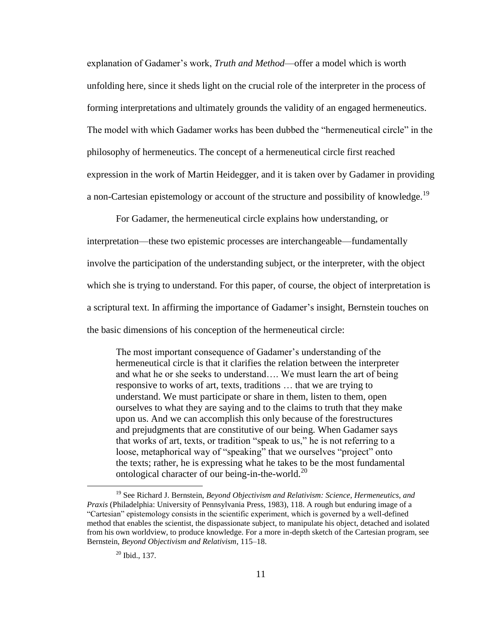explanation of Gadamer's work, *Truth and Method*—offer a model which is worth unfolding here, since it sheds light on the crucial role of the interpreter in the process of forming interpretations and ultimately grounds the validity of an engaged hermeneutics. The model with which Gadamer works has been dubbed the "hermeneutical circle" in the philosophy of hermeneutics. The concept of a hermeneutical circle first reached expression in the work of Martin Heidegger, and it is taken over by Gadamer in providing a non-Cartesian epistemology or account of the structure and possibility of knowledge.<sup>19</sup>

For Gadamer, the hermeneutical circle explains how understanding, or interpretation—these two epistemic processes are interchangeable—fundamentally involve the participation of the understanding subject, or the interpreter, with the object which she is trying to understand. For this paper, of course, the object of interpretation is a scriptural text. In affirming the importance of Gadamer's insight, Bernstein touches on the basic dimensions of his conception of the hermeneutical circle:

The most important consequence of Gadamer's understanding of the hermeneutical circle is that it clarifies the relation between the interpreter and what he or she seeks to understand…. We must learn the art of being responsive to works of art, texts, traditions … that we are trying to understand. We must participate or share in them, listen to them, open ourselves to what they are saying and to the claims to truth that they make upon us. And we can accomplish this only because of the forestructures and prejudgments that are constitutive of our being. When Gadamer says that works of art, texts, or tradition "speak to us," he is not referring to a loose, metaphorical way of "speaking" that we ourselves "project" onto the texts; rather, he is expressing what he takes to be the most fundamental ontological character of our being-in-the-world.<sup>20</sup>

<sup>19</sup> See Richard J. Bernstein, *Beyond Objectivism and Relativism: Science, Hermeneutics, and Praxis* (Philadelphia: University of Pennsylvania Press, 1983), 118. A rough but enduring image of a "Cartesian" epistemology consists in the scientific experiment, which is governed by a well-defined method that enables the scientist, the dispassionate subject, to manipulate his object, detached and isolated from his own worldview, to produce knowledge. For a more in-depth sketch of the Cartesian program, see Bernstein, *Beyond Objectivism and Relativism*, 115–18.

<sup>20</sup> Ibid., 137.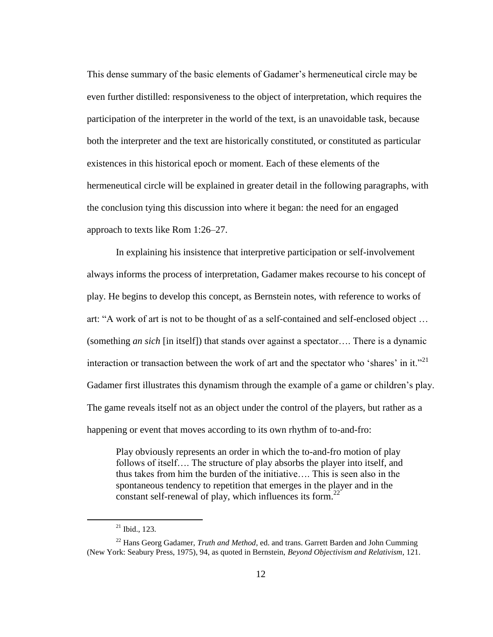This dense summary of the basic elements of Gadamer's hermeneutical circle may be even further distilled: responsiveness to the object of interpretation, which requires the participation of the interpreter in the world of the text, is an unavoidable task, because both the interpreter and the text are historically constituted, or constituted as particular existences in this historical epoch or moment. Each of these elements of the hermeneutical circle will be explained in greater detail in the following paragraphs, with the conclusion tying this discussion into where it began: the need for an engaged approach to texts like Rom 1:26–27.

In explaining his insistence that interpretive participation or self-involvement always informs the process of interpretation, Gadamer makes recourse to his concept of play. He begins to develop this concept, as Bernstein notes, with reference to works of art: "A work of art is not to be thought of as a self-contained and self-enclosed object … (something *an sich* [in itself]) that stands over against a spectator…. There is a dynamic interaction or transaction between the work of art and the spectator who 'shares' in it."<sup>21</sup> Gadamer first illustrates this dynamism through the example of a game or children's play. The game reveals itself not as an object under the control of the players, but rather as a happening or event that moves according to its own rhythm of to-and-fro:

Play obviously represents an order in which the to-and-fro motion of play follows of itself…. The structure of play absorbs the player into itself, and thus takes from him the burden of the initiative…. This is seen also in the spontaneous tendency to repetition that emerges in the player and in the constant self-renewal of play, which influences its form.<sup>22</sup>

 $21$  Ibid., 123.

<sup>22</sup> Hans Georg Gadamer, *Truth and Method*, ed. and trans. Garrett Barden and John Cumming (New York: Seabury Press, 1975), 94, as quoted in Bernstein, *Beyond Objectivism and Relativism*, 121.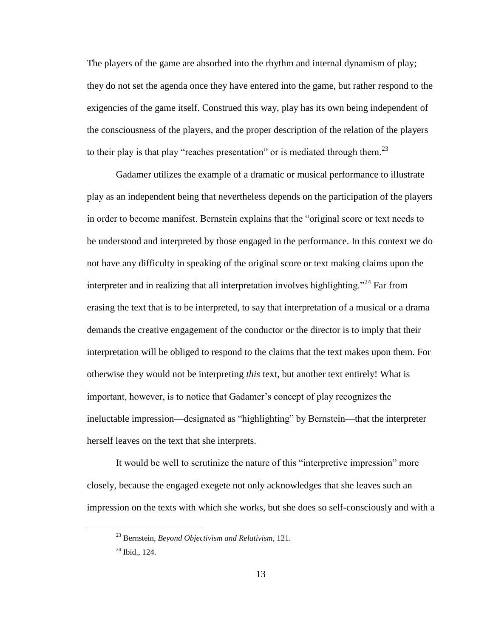The players of the game are absorbed into the rhythm and internal dynamism of play; they do not set the agenda once they have entered into the game, but rather respond to the exigencies of the game itself. Construed this way, play has its own being independent of the consciousness of the players, and the proper description of the relation of the players to their play is that play "reaches presentation" or is mediated through them.<sup>23</sup>

Gadamer utilizes the example of a dramatic or musical performance to illustrate play as an independent being that nevertheless depends on the participation of the players in order to become manifest. Bernstein explains that the "original score or text needs to be understood and interpreted by those engaged in the performance. In this context we do not have any difficulty in speaking of the original score or text making claims upon the interpreter and in realizing that all interpretation involves highlighting."<sup>24</sup> Far from erasing the text that is to be interpreted, to say that interpretation of a musical or a drama demands the creative engagement of the conductor or the director is to imply that their interpretation will be obliged to respond to the claims that the text makes upon them. For otherwise they would not be interpreting *this* text, but another text entirely! What is important, however, is to notice that Gadamer's concept of play recognizes the ineluctable impression—designated as "highlighting" by Bernstein—that the interpreter herself leaves on the text that she interprets.

It would be well to scrutinize the nature of this "interpretive impression" more closely, because the engaged exegete not only acknowledges that she leaves such an impression on the texts with which she works, but she does so self-consciously and with a

<sup>23</sup> Bernstein, *Beyond Objectivism and Relativism*, 121.

 $24$  Ibid., 124.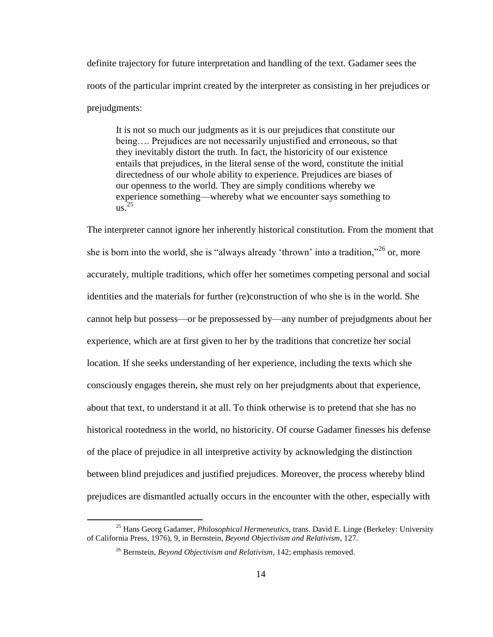definite trajectory for future interpretation and handling of the text. Gadamer sees the roots of the particular imprint created by the interpreter as consisting in her prejudices or prejudgments:

It is not so much our judgments as it is our prejudices that constitute our being…. Prejudices are not necessarily unjustified and erroneous, so that they inevitably distort the truth. In fact, the historicity of our existence entails that prejudices, in the literal sense of the word, constitute the initial directedness of our whole ability to experience. Prejudices are biases of our openness to the world. They are simply conditions whereby we experience something—whereby what we encounter says something to us. 25

The interpreter cannot ignore her inherently historical constitution. From the moment that she is born into the world, she is "always already 'thrown' into a tradition,"  $26$  or, more accurately, multiple traditions, which offer her sometimes competing personal and social identities and the materials for further (re)construction of who she is in the world. She cannot help but possess—or be prepossessed by—any number of prejudgments about her experience, which are at first given to her by the traditions that concretize her social location. If she seeks understanding of her experience, including the texts which she consciously engages therein, she must rely on her prejudgments about that experience, about that text, to understand it at all. To think otherwise is to pretend that she has no historical rootedness in the world, no historicity. Of course Gadamer finesses his defense of the place of prejudice in all interpretive activity by acknowledging the distinction between blind prejudices and justified prejudices. Moreover, the process whereby blind prejudices are dismantled actually occurs in the encounter with the other, especially with

<sup>25</sup> Hans Georg Gadamer, *Philosophical Hermeneutics*, trans. David E. Linge (Berkeley: University of California Press, 1976), 9, in Bernstein, *Beyond Objectivism and Relativism*, 127.

<sup>26</sup> Bernstein, *Beyond Objectivism and Relativism*, 142; emphasis removed.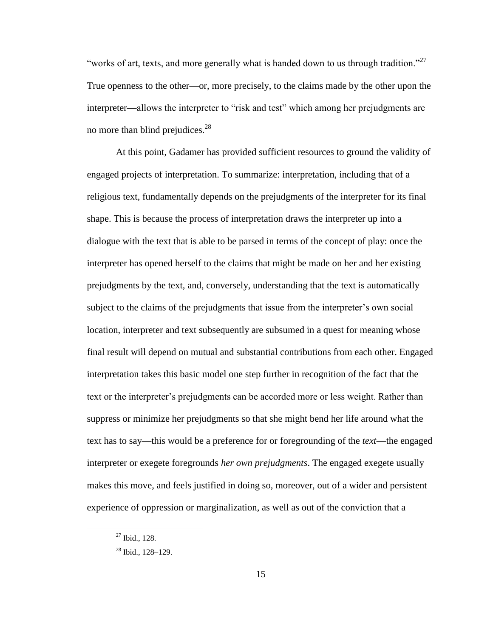"works of art, texts, and more generally what is handed down to us through tradition."<sup>27</sup> True openness to the other—or, more precisely, to the claims made by the other upon the interpreter—allows the interpreter to "risk and test" which among her prejudgments are no more than blind prejudices.<sup>28</sup>

At this point, Gadamer has provided sufficient resources to ground the validity of engaged projects of interpretation. To summarize: interpretation, including that of a religious text, fundamentally depends on the prejudgments of the interpreter for its final shape. This is because the process of interpretation draws the interpreter up into a dialogue with the text that is able to be parsed in terms of the concept of play: once the interpreter has opened herself to the claims that might be made on her and her existing prejudgments by the text, and, conversely, understanding that the text is automatically subject to the claims of the prejudgments that issue from the interpreter's own social location, interpreter and text subsequently are subsumed in a quest for meaning whose final result will depend on mutual and substantial contributions from each other. Engaged interpretation takes this basic model one step further in recognition of the fact that the text or the interpreter's prejudgments can be accorded more or less weight. Rather than suppress or minimize her prejudgments so that she might bend her life around what the text has to say—this would be a preference for or foregrounding of the *text*—the engaged interpreter or exegete foregrounds *her own prejudgments*. The engaged exegete usually makes this move, and feels justified in doing so, moreover, out of a wider and persistent experience of oppression or marginalization, as well as out of the conviction that a

 $27$  Ibid., 128.

<sup>28</sup> Ibid., 128–129.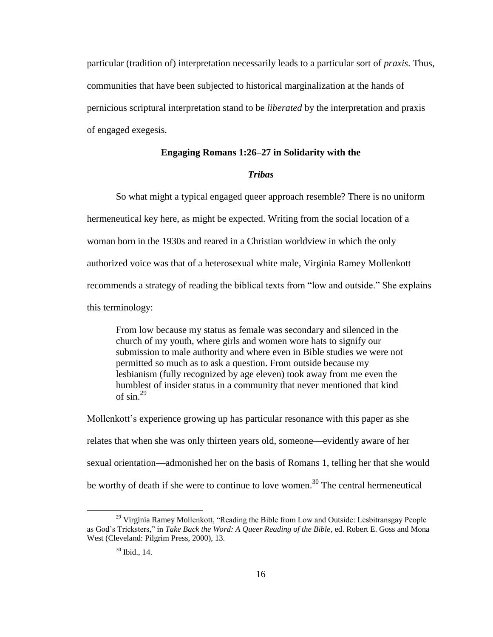particular (tradition of) interpretation necessarily leads to a particular sort of *praxis*. Thus, communities that have been subjected to historical marginalization at the hands of pernicious scriptural interpretation stand to be *liberated* by the interpretation and praxis of engaged exegesis.

### **Engaging Romans 1:26–27 in Solidarity with the**

### *Tribas*

So what might a typical engaged queer approach resemble? There is no uniform hermeneutical key here, as might be expected. Writing from the social location of a woman born in the 1930s and reared in a Christian worldview in which the only authorized voice was that of a heterosexual white male, Virginia Ramey Mollenkott recommends a strategy of reading the biblical texts from "low and outside." She explains this terminology:

From low because my status as female was secondary and silenced in the church of my youth, where girls and women wore hats to signify our submission to male authority and where even in Bible studies we were not permitted so much as to ask a question. From outside because my lesbianism (fully recognized by age eleven) took away from me even the humblest of insider status in a community that never mentioned that kind of  $\sin^{29}$ 

Mollenkott's experience growing up has particular resonance with this paper as she relates that when she was only thirteen years old, someone—evidently aware of her sexual orientation—admonished her on the basis of Romans 1, telling her that she would be worthy of death if she were to continue to love women.<sup>30</sup> The central hermeneutical

<sup>&</sup>lt;sup>29</sup> Virginia Ramey Mollenkott, "Reading the Bible from Low and Outside: Lesbitransgay People as God's Tricksters," in *Take Back the Word: A Queer Reading of the Bible*, ed. Robert E. Goss and Mona West (Cleveland: Pilgrim Press, 2000), 13.

 $30$  Ibid., 14.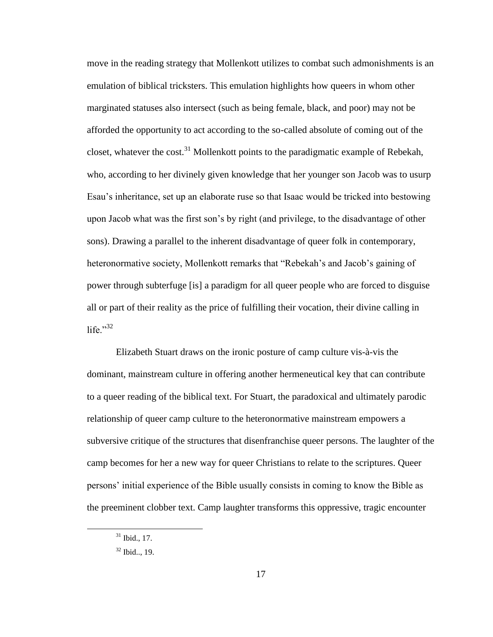move in the reading strategy that Mollenkott utilizes to combat such admonishments is an emulation of biblical tricksters. This emulation highlights how queers in whom other marginated statuses also intersect (such as being female, black, and poor) may not be afforded the opportunity to act according to the so-called absolute of coming out of the closet, whatever the cost.<sup>31</sup> Mollenkott points to the paradigmatic example of Rebekah, who, according to her divinely given knowledge that her younger son Jacob was to usurp Esau's inheritance, set up an elaborate ruse so that Isaac would be tricked into bestowing upon Jacob what was the first son's by right (and privilege, to the disadvantage of other sons). Drawing a parallel to the inherent disadvantage of queer folk in contemporary, heteronormative society, Mollenkott remarks that "Rebekah's and Jacob's gaining of power through subterfuge [is] a paradigm for all queer people who are forced to disguise all or part of their reality as the price of fulfilling their vocation, their divine calling in life $\cdot$ <sup>32</sup>

Elizabeth Stuart draws on the ironic posture of camp culture vis-à-vis the dominant, mainstream culture in offering another hermeneutical key that can contribute to a queer reading of the biblical text. For Stuart, the paradoxical and ultimately parodic relationship of queer camp culture to the heteronormative mainstream empowers a subversive critique of the structures that disenfranchise queer persons. The laughter of the camp becomes for her a new way for queer Christians to relate to the scriptures. Queer persons' initial experience of the Bible usually consists in coming to know the Bible as the preeminent clobber text. Camp laughter transforms this oppressive, tragic encounter

 $31$  Ibid., 17.

<sup>32</sup> Ibid.., 19.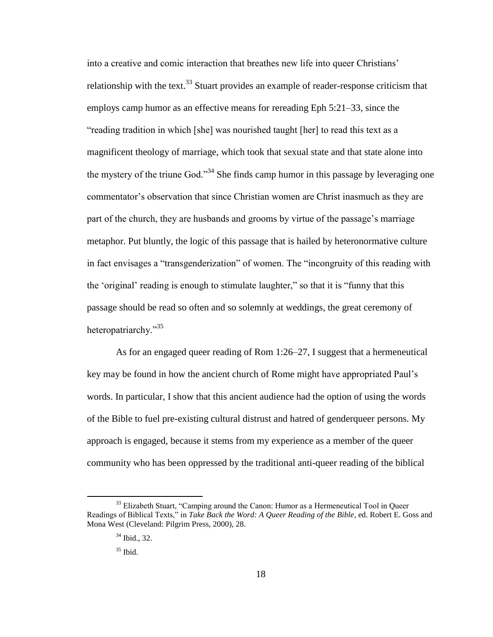into a creative and comic interaction that breathes new life into queer Christians' relationship with the text.<sup>33</sup> Stuart provides an example of reader-response criticism that employs camp humor as an effective means for rereading Eph 5:21–33, since the "reading tradition in which [she] was nourished taught [her] to read this text as a magnificent theology of marriage, which took that sexual state and that state alone into the mystery of the triune God."<sup>34</sup> She finds camp humor in this passage by leveraging one commentator's observation that since Christian women are Christ inasmuch as they are part of the church, they are husbands and grooms by virtue of the passage's marriage metaphor. Put bluntly, the logic of this passage that is hailed by heteronormative culture in fact envisages a "transgenderization" of women. The "incongruity of this reading with the 'original' reading is enough to stimulate laughter," so that it is "funny that this passage should be read so often and so solemnly at weddings, the great ceremony of heteropatriarchy."<sup>35</sup>

As for an engaged queer reading of Rom 1:26–27, I suggest that a hermeneutical key may be found in how the ancient church of Rome might have appropriated Paul's words. In particular, I show that this ancient audience had the option of using the words of the Bible to fuel pre-existing cultural distrust and hatred of genderqueer persons. My approach is engaged, because it stems from my experience as a member of the queer community who has been oppressed by the traditional anti-queer reading of the biblical

<sup>&</sup>lt;sup>33</sup> Elizabeth Stuart, "Camping around the Canon: Humor as a Hermeneutical Tool in Queer Readings of Biblical Texts," in *Take Back the Word: A Queer Reading of the Bible*, ed. Robert E. Goss and Mona West (Cleveland: Pilgrim Press, 2000), 28.

<sup>&</sup>lt;sup>34</sup> Ibid., 32.

 $35$  Ibid.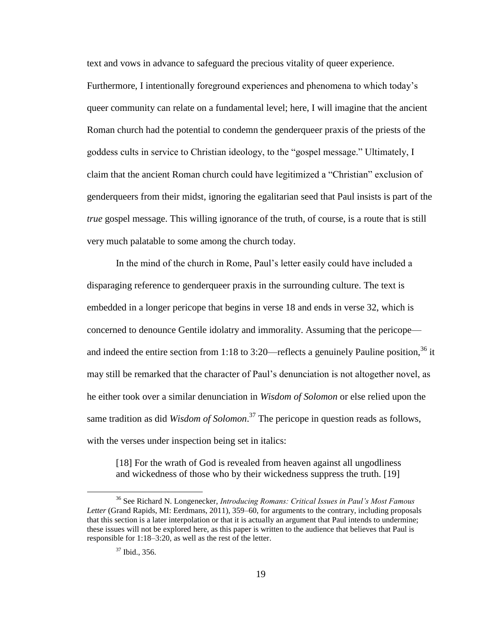text and vows in advance to safeguard the precious vitality of queer experience.

Furthermore, I intentionally foreground experiences and phenomena to which today's queer community can relate on a fundamental level; here, I will imagine that the ancient Roman church had the potential to condemn the genderqueer praxis of the priests of the goddess cults in service to Christian ideology, to the "gospel message." Ultimately, I claim that the ancient Roman church could have legitimized a "Christian" exclusion of genderqueers from their midst, ignoring the egalitarian seed that Paul insists is part of the *true* gospel message. This willing ignorance of the truth, of course, is a route that is still very much palatable to some among the church today.

In the mind of the church in Rome, Paul's letter easily could have included a disparaging reference to genderqueer praxis in the surrounding culture. The text is embedded in a longer pericope that begins in verse 18 and ends in verse 32, which is concerned to denounce Gentile idolatry and immorality. Assuming that the pericope and indeed the entire section from 1:18 to 3:20—reflects a genuinely Pauline position,  $36$  it may still be remarked that the character of Paul's denunciation is not altogether novel, as he either took over a similar denunciation in *Wisdom of Solomon* or else relied upon the same tradition as did *Wisdom of Solomon*. <sup>37</sup> The pericope in question reads as follows, with the verses under inspection being set in italics:

[18] For the wrath of God is revealed from heaven against all ungodliness and wickedness of those who by their wickedness suppress the truth. [19]

<sup>36</sup> See Richard N. Longenecker, *Introducing Romans: Critical Issues in Paul's Most Famous Letter* (Grand Rapids, MI: Eerdmans, 2011), 359–60, for arguments to the contrary, including proposals that this section is a later interpolation or that it is actually an argument that Paul intends to undermine; these issues will not be explored here, as this paper is written to the audience that believes that Paul is responsible for 1:18–3:20, as well as the rest of the letter.

<sup>37</sup> Ibid., 356.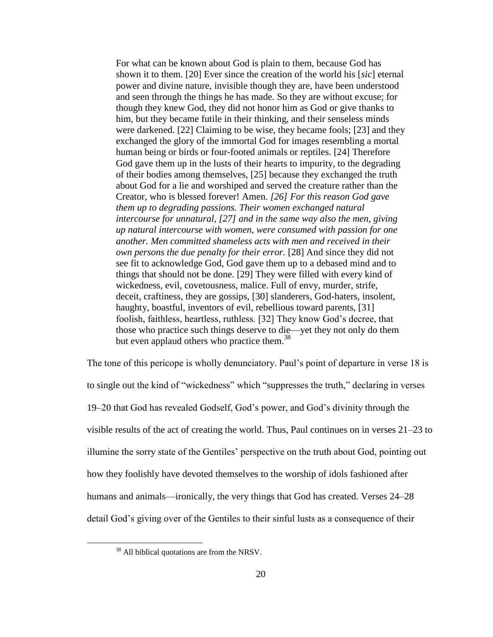For what can be known about God is plain to them, because God has shown it to them. [20] Ever since the creation of the world his [*sic*] eternal power and divine nature, invisible though they are, have been understood and seen through the things he has made. So they are without excuse; for though they knew God, they did not honor him as God or give thanks to him, but they became futile in their thinking, and their senseless minds were darkened. [22] Claiming to be wise, they became fools; [23] and they exchanged the glory of the immortal God for images resembling a mortal human being or birds or four-footed animals or reptiles. [24] Therefore God gave them up in the lusts of their hearts to impurity, to the degrading of their bodies among themselves, [25] because they exchanged the truth about God for a lie and worshiped and served the creature rather than the Creator, who is blessed forever! Amen. *[26] For this reason God gave them up to degrading passions. Their women exchanged natural intercourse for unnatural, [27] and in the same way also the men, giving up natural intercourse with women, were consumed with passion for one another. Men committed shameless acts with men and received in their own persons the due penalty for their error.* [28] And since they did not see fit to acknowledge God, God gave them up to a debased mind and to things that should not be done. [29] They were filled with every kind of wickedness, evil, covetousness, malice. Full of envy, murder, strife, deceit, craftiness, they are gossips, [30] slanderers, God-haters, insolent, haughty, boastful, inventors of evil, rebellious toward parents, [31] foolish, faithless, heartless, ruthless. [32] They know God's decree, that those who practice such things deserve to die—yet they not only do them but even applaud others who practice them.<sup>38</sup>

The tone of this pericope is wholly denunciatory. Paul's point of departure in verse 18 is to single out the kind of "wickedness" which "suppresses the truth," declaring in verses 19–20 that God has revealed Godself, God's power, and God's divinity through the visible results of the act of creating the world. Thus, Paul continues on in verses 21–23 to illumine the sorry state of the Gentiles' perspective on the truth about God, pointing out how they foolishly have devoted themselves to the worship of idols fashioned after humans and animals—ironically, the very things that God has created. Verses 24–28 detail God's giving over of the Gentiles to their sinful lusts as a consequence of their

<sup>&</sup>lt;sup>38</sup> All biblical quotations are from the NRSV.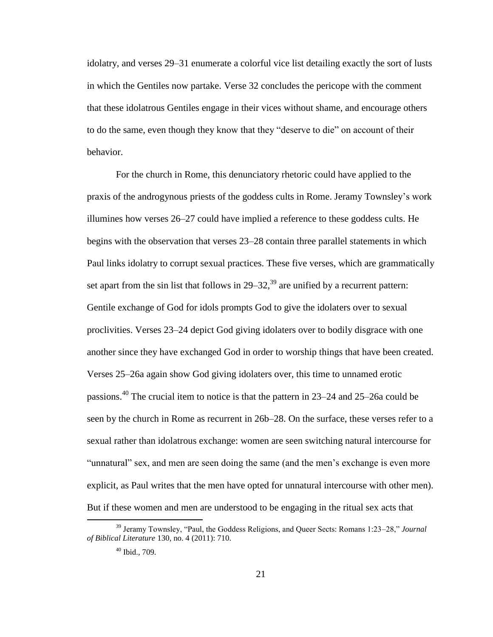idolatry, and verses 29–31 enumerate a colorful vice list detailing exactly the sort of lusts in which the Gentiles now partake. Verse 32 concludes the pericope with the comment that these idolatrous Gentiles engage in their vices without shame, and encourage others to do the same, even though they know that they "deserve to die" on account of their behavior.

For the church in Rome, this denunciatory rhetoric could have applied to the praxis of the androgynous priests of the goddess cults in Rome. Jeramy Townsley's work illumines how verses 26–27 could have implied a reference to these goddess cults. He begins with the observation that verses 23–28 contain three parallel statements in which Paul links idolatry to corrupt sexual practices. These five verses, which are grammatically set apart from the sin list that follows in  $29-32$ ,<sup>39</sup> are unified by a recurrent pattern: Gentile exchange of God for idols prompts God to give the idolaters over to sexual proclivities. Verses 23–24 depict God giving idolaters over to bodily disgrace with one another since they have exchanged God in order to worship things that have been created. Verses 25–26a again show God giving idolaters over, this time to unnamed erotic passions.<sup>40</sup> The crucial item to notice is that the pattern in 23–24 and 25–26a could be seen by the church in Rome as recurrent in 26b–28. On the surface, these verses refer to a sexual rather than idolatrous exchange: women are seen switching natural intercourse for "unnatural" sex, and men are seen doing the same (and the men's exchange is even more explicit, as Paul writes that the men have opted for unnatural intercourse with other men). But if these women and men are understood to be engaging in the ritual sex acts that

<sup>39</sup> Jeramy Townsley, "Paul, the Goddess Religions, and Queer Sects: Romans 1:23–28," *Journal of Biblical Literature* 130, no. 4 (2011): 710.

<sup>40</sup> Ibid., 709.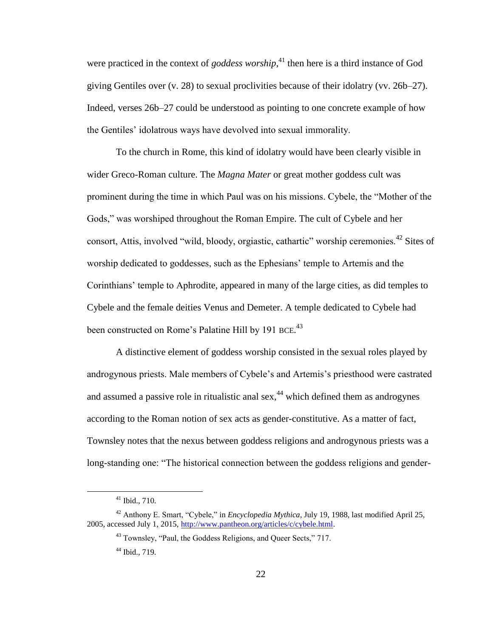were practiced in the context of *goddess worship*, <sup>41</sup> then here is a third instance of God giving Gentiles over (v. 28) to sexual proclivities because of their idolatry (vv. 26b–27). Indeed, verses 26b–27 could be understood as pointing to one concrete example of how the Gentiles' idolatrous ways have devolved into sexual immorality.

To the church in Rome, this kind of idolatry would have been clearly visible in wider Greco-Roman culture. The *Magna Mater* or great mother goddess cult was prominent during the time in which Paul was on his missions. Cybele, the "Mother of the Gods," was worshiped throughout the Roman Empire. The cult of Cybele and her consort, Attis, involved "wild, bloody, orgiastic, cathartic" worship ceremonies.<sup>42</sup> Sites of worship dedicated to goddesses, such as the Ephesians' temple to Artemis and the Corinthians' temple to Aphrodite, appeared in many of the large cities, as did temples to Cybele and the female deities Venus and Demeter. A temple dedicated to Cybele had been constructed on Rome's Palatine Hill by 191 BCE.<sup>43</sup>

A distinctive element of goddess worship consisted in the sexual roles played by androgynous priests. Male members of Cybele's and Artemis's priesthood were castrated and assumed a passive role in ritualistic anal  $sex<sub>1</sub><sup>44</sup>$  which defined them as androgynes according to the Roman notion of sex acts as gender-constitutive. As a matter of fact, Townsley notes that the nexus between goddess religions and androgynous priests was a long-standing one: "The historical connection between the goddess religions and gender-

<sup>41</sup> Ibid., 710.

<sup>42</sup> Anthony E. Smart, "Cybele," in *Encyclopedia Mythica*, July 19, 1988, last modified April 25, 2005, accessed July 1, 2015[, http://www.pantheon.org/articles/c/cybele.html.](javascript:void(0))

<sup>43</sup> Townsley, "Paul, the Goddess Religions, and Queer Sects," 717.

<sup>44</sup> Ibid., 719.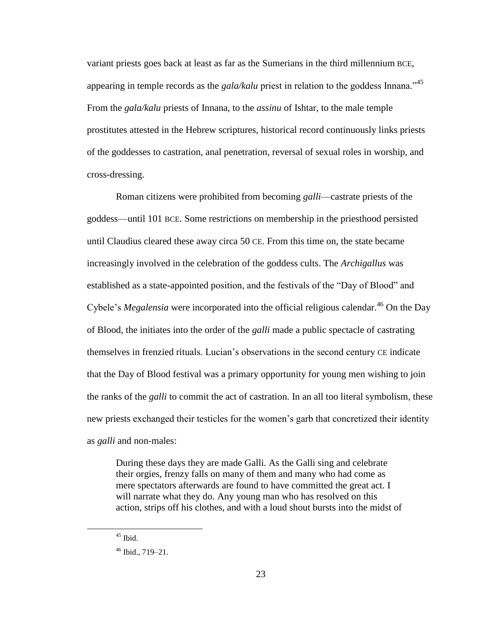variant priests goes back at least as far as the Sumerians in the third millennium BCE, appearing in temple records as the *gala/kalu* priest in relation to the goddess Innana."<sup>45</sup> From the *gala/kalu* priests of Innana, to the *assinu* of Ishtar, to the male temple prostitutes attested in the Hebrew scriptures, historical record continuously links priests of the goddesses to castration, anal penetration, reversal of sexual roles in worship, and cross-dressing.

Roman citizens were prohibited from becoming *galli*—castrate priests of the goddess—until 101 BCE. Some restrictions on membership in the priesthood persisted until Claudius cleared these away circa 50 CE. From this time on, the state became increasingly involved in the celebration of the goddess cults. The *Archigallus* was established as a state-appointed position, and the festivals of the "Day of Blood" and Cybele's *Megalensia* were incorporated into the official religious calendar.<sup>46</sup> On the Day of Blood, the initiates into the order of the *galli* made a public spectacle of castrating themselves in frenzied rituals. Lucian's observations in the second century CE indicate that the Day of Blood festival was a primary opportunity for young men wishing to join the ranks of the *galli* to commit the act of castration. In an all too literal symbolism, these new priests exchanged their testicles for the women's garb that concretized their identity as *galli* and non-males:

During these days they are made Galli. As the Galli sing and celebrate their orgies, frenzy falls on many of them and many who had come as mere spectators afterwards are found to have committed the great act. I will narrate what they do. Any young man who has resolved on this action, strips off his clothes, and with a loud shout bursts into the midst of

 $45$  Ibid.

 $46$  Ibid., 719–21.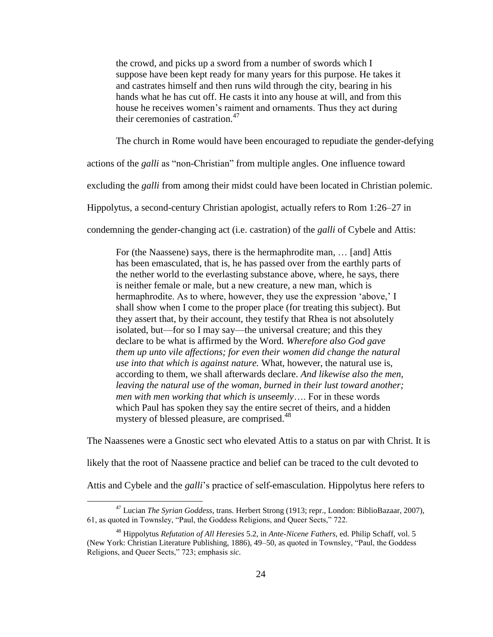the crowd, and picks up a sword from a number of swords which I suppose have been kept ready for many years for this purpose. He takes it and castrates himself and then runs wild through the city, bearing in his hands what he has cut off. He casts it into any house at will, and from this house he receives women's raiment and ornaments. Thus they act during their ceremonies of castration. $47$ 

The church in Rome would have been encouraged to repudiate the gender-defying

actions of the *galli* as "non-Christian" from multiple angles. One influence toward

excluding the *galli* from among their midst could have been located in Christian polemic.

Hippolytus, a second-century Christian apologist, actually refers to Rom 1:26–27 in

condemning the gender-changing act (i.e. castration) of the *galli* of Cybele and Attis:

For (the Naassene) says, there is the hermaphrodite man, … [and] Attis has been emasculated, that is, he has passed over from the earthly parts of the nether world to the everlasting substance above, where, he says, there is neither female or male, but a new creature, a new man, which is hermaphrodite. As to where, however, they use the expression 'above,' I shall show when I come to the proper place (for treating this subject). But they assert that, by their account, they testify that Rhea is not absolutely isolated, but—for so I may say—the universal creature; and this they declare to be what is affirmed by the Word. *Wherefore also God gave them up unto vile affections; for even their women did change the natural use into that which is against nature.* What, however, the natural use is, according to them, we shall afterwards declare. *And likewise also the men, leaving the natural use of the woman, burned in their lust toward another; men with men working that which is unseemly*…. For in these words which Paul has spoken they say the entire secret of theirs, and a hidden mystery of blessed pleasure, are comprised.<sup>48</sup>

The Naassenes were a Gnostic sect who elevated Attis to a status on par with Christ. It is

likely that the root of Naassene practice and belief can be traced to the cult devoted to

Attis and Cybele and the *galli*'s practice of self-emasculation. Hippolytus here refers to

<sup>47</sup> Lucian *The Syrian Goddess*, trans. Herbert Strong (1913; repr., London: BiblioBazaar, 2007), 61, as quoted in Townsley, "Paul, the Goddess Religions, and Queer Sects," 722.

<sup>48</sup> Hippolytus *Refutation of All Heresies* 5.2, in *Ante-Nicene Fathers*, ed. Philip Schaff, vol. 5 (New York: Christian Literature Publishing, 1886), 49–50, as quoted in Townsley, "Paul, the Goddess Religions, and Queer Sects," 723; emphasis *sic*.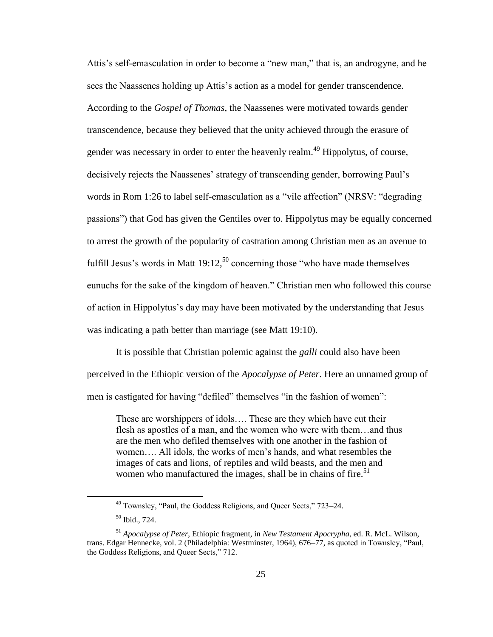Attis's self-emasculation in order to become a "new man," that is, an androgyne, and he sees the Naassenes holding up Attis's action as a model for gender transcendence. According to the *Gospel of Thomas*, the Naassenes were motivated towards gender transcendence, because they believed that the unity achieved through the erasure of gender was necessary in order to enter the heavenly realm.<sup>49</sup> Hippolytus, of course, decisively rejects the Naassenes' strategy of transcending gender, borrowing Paul's words in Rom 1:26 to label self-emasculation as a "vile affection" (NRSV: "degrading passions") that God has given the Gentiles over to. Hippolytus may be equally concerned to arrest the growth of the popularity of castration among Christian men as an avenue to fulfill Jesus's words in Matt  $19:12$ ,<sup>50</sup> concerning those "who have made themselves" eunuchs for the sake of the kingdom of heaven." Christian men who followed this course of action in Hippolytus's day may have been motivated by the understanding that Jesus was indicating a path better than marriage (see Matt 19:10).

It is possible that Christian polemic against the *galli* could also have been perceived in the Ethiopic version of the *Apocalypse of Peter*. Here an unnamed group of men is castigated for having "defiled" themselves "in the fashion of women":

These are worshippers of idols…. These are they which have cut their flesh as apostles of a man, and the women who were with them…and thus are the men who defiled themselves with one another in the fashion of women…. All idols, the works of men's hands, and what resembles the images of cats and lions, of reptiles and wild beasts, and the men and women who manufactured the images, shall be in chains of fire.<sup>51</sup>

<sup>49</sup> Townsley, "Paul, the Goddess Religions, and Queer Sects," 723–24.

<sup>50</sup> Ibid., 724.

<sup>51</sup> *Apocalypse of Peter*, Ethiopic fragment, in *New Testament Apocrypha*, ed. R. McL. Wilson, trans. Edgar Hennecke, vol. 2 (Philadelphia: Westminster, 1964), 676–77, as quoted in Townsley, "Paul, the Goddess Religions, and Queer Sects," 712.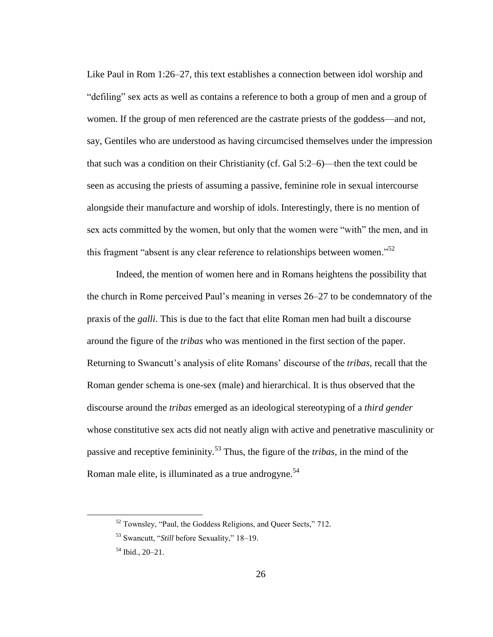Like Paul in Rom 1:26–27, this text establishes a connection between idol worship and "defiling" sex acts as well as contains a reference to both a group of men and a group of women. If the group of men referenced are the castrate priests of the goddess—and not, say, Gentiles who are understood as having circumcised themselves under the impression that such was a condition on their Christianity (cf. Gal 5:2–6)—then the text could be seen as accusing the priests of assuming a passive, feminine role in sexual intercourse alongside their manufacture and worship of idols. Interestingly, there is no mention of sex acts committed by the women, but only that the women were "with" the men, and in this fragment "absent is any clear reference to relationships between women."<sup>52</sup>

Indeed, the mention of women here and in Romans heightens the possibility that the church in Rome perceived Paul's meaning in verses 26–27 to be condemnatory of the praxis of the *galli*. This is due to the fact that elite Roman men had built a discourse around the figure of the *tribas* who was mentioned in the first section of the paper. Returning to Swancutt's analysis of elite Romans' discourse of the *tribas*, recall that the Roman gender schema is one-sex (male) and hierarchical. It is thus observed that the discourse around the *tribas* emerged as an ideological stereotyping of a *third gender* whose constitutive sex acts did not neatly align with active and penetrative masculinity or passive and receptive femininity.<sup>53</sup> Thus, the figure of the *tribas*, in the mind of the Roman male elite, is illuminated as a true androgyne.<sup>54</sup>

<sup>52</sup> Townsley, "Paul, the Goddess Religions, and Queer Sects," 712.

<sup>53</sup> Swancutt, "*Still* before Sexuality," 18–19.

<sup>54</sup> Ibid., 20–21.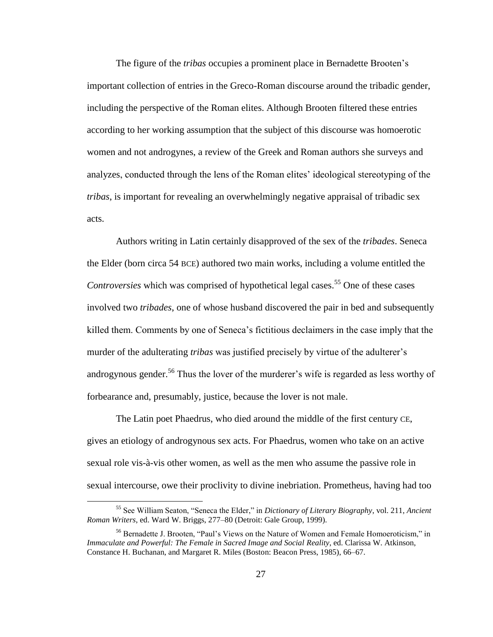The figure of the *tribas* occupies a prominent place in Bernadette Brooten's important collection of entries in the Greco-Roman discourse around the tribadic gender, including the perspective of the Roman elites. Although Brooten filtered these entries according to her working assumption that the subject of this discourse was homoerotic women and not androgynes, a review of the Greek and Roman authors she surveys and analyzes, conducted through the lens of the Roman elites' ideological stereotyping of the *tribas*, is important for revealing an overwhelmingly negative appraisal of tribadic sex acts.

Authors writing in Latin certainly disapproved of the sex of the *tribades*. Seneca the Elder (born circa 54 BCE) authored two main works, including a volume entitled the *Controversies* which was comprised of hypothetical legal cases.<sup>55</sup> One of these cases involved two *tribades*, one of whose husband discovered the pair in bed and subsequently killed them. Comments by one of Seneca's fictitious declaimers in the case imply that the murder of the adulterating *tribas* was justified precisely by virtue of the adulterer's androgynous gender.<sup>56</sup> Thus the lover of the murderer's wife is regarded as less worthy of forbearance and, presumably, justice, because the lover is not male.

The Latin poet Phaedrus, who died around the middle of the first century CE, gives an etiology of androgynous sex acts. For Phaedrus, women who take on an active sexual role vis-à-vis other women, as well as the men who assume the passive role in sexual intercourse, owe their proclivity to divine inebriation. Prometheus, having had too

<sup>55</sup> See William Seaton, "Seneca the Elder," in *Dictionary of Literary Biography*, vol. 211, *Ancient Roman Writers*, ed. Ward W. Briggs, 277–80 (Detroit: Gale Group, 1999).

<sup>&</sup>lt;sup>56</sup> Bernadette J. Brooten, "Paul's Views on the Nature of Women and Female Homoeroticism," in *Immaculate and Powerful: The Female in Sacred Image and Social Reality*, ed. Clarissa W. Atkinson, Constance H. Buchanan, and Margaret R. Miles (Boston: Beacon Press, 1985), 66–67.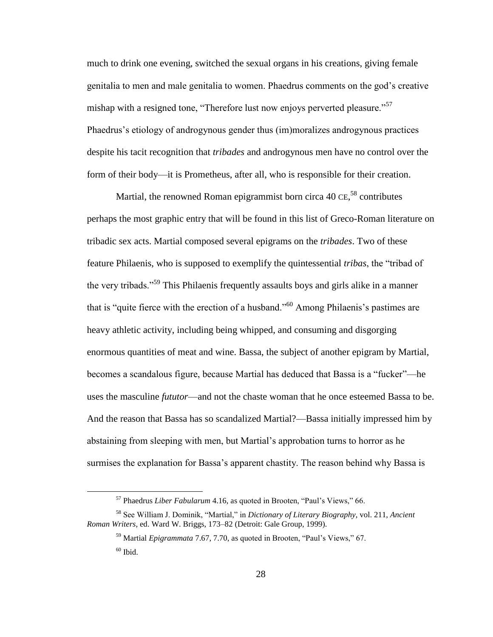much to drink one evening, switched the sexual organs in his creations, giving female genitalia to men and male genitalia to women. Phaedrus comments on the god's creative mishap with a resigned tone, "Therefore lust now enjoys perverted pleasure."<sup>57</sup> Phaedrus's etiology of androgynous gender thus (im)moralizes androgynous practices despite his tacit recognition that *tribades* and androgynous men have no control over the form of their body—it is Prometheus, after all, who is responsible for their creation.

Martial, the renowned Roman epigrammist born circa 40 CE,<sup>58</sup> contributes perhaps the most graphic entry that will be found in this list of Greco-Roman literature on tribadic sex acts. Martial composed several epigrams on the *tribades*. Two of these feature Philaenis, who is supposed to exemplify the quintessential *tribas*, the "tribad of the very tribads."<sup>59</sup> This Philaenis frequently assaults boys and girls alike in a manner that is "quite fierce with the erection of a husband."<sup>60</sup> Among Philaenis's pastimes are heavy athletic activity, including being whipped, and consuming and disgorging enormous quantities of meat and wine. Bassa, the subject of another epigram by Martial, becomes a scandalous figure, because Martial has deduced that Bassa is a "fucker"—he uses the masculine *fututor*—and not the chaste woman that he once esteemed Bassa to be. And the reason that Bassa has so scandalized Martial?—Bassa initially impressed him by abstaining from sleeping with men, but Martial's approbation turns to horror as he surmises the explanation for Bassa's apparent chastity. The reason behind why Bassa is

<sup>57</sup> Phaedrus *Liber Fabularum* 4.16, as quoted in Brooten, "Paul's Views," 66.

<sup>58</sup> See William J. Dominik, "Martial," in *Dictionary of Literary Biography*, vol. 211, *Ancient Roman Writers*, ed. Ward W. Briggs, 173–82 (Detroit: Gale Group, 1999).

<sup>59</sup> Martial *Epigrammata* 7.67, 7.70, as quoted in Brooten, "Paul's Views," 67.  $60$  Ibid.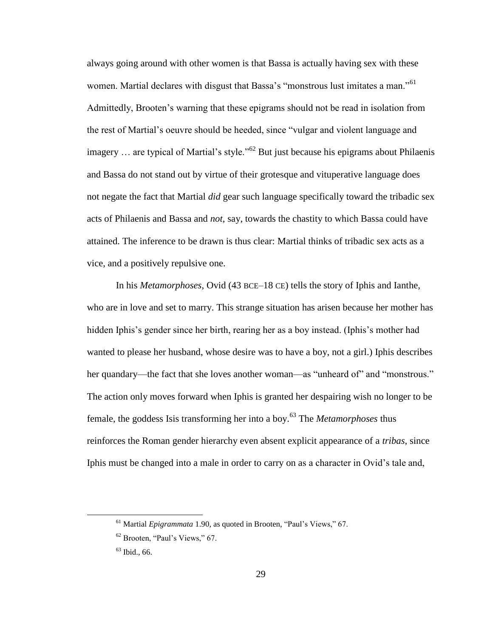always going around with other women is that Bassa is actually having sex with these women. Martial declares with disgust that Bassa's "monstrous lust imitates a man."<sup>61</sup> Admittedly, Brooten's warning that these epigrams should not be read in isolation from the rest of Martial's oeuvre should be heeded, since "vulgar and violent language and imagery  $\ldots$  are typical of Martial's style."<sup>62</sup> But just because his epigrams about Philaenis and Bassa do not stand out by virtue of their grotesque and vituperative language does not negate the fact that Martial *did* gear such language specifically toward the tribadic sex acts of Philaenis and Bassa and *not*, say, towards the chastity to which Bassa could have attained. The inference to be drawn is thus clear: Martial thinks of tribadic sex acts as a vice, and a positively repulsive one.

In his *Metamorphoses*, Ovid (43 BCE–18 CE) tells the story of Iphis and Ianthe, who are in love and set to marry. This strange situation has arisen because her mother has hidden Iphis's gender since her birth, rearing her as a boy instead. (Iphis's mother had wanted to please her husband, whose desire was to have a boy, not a girl.) Iphis describes her quandary—the fact that she loves another woman—as "unheard of" and "monstrous." The action only moves forward when Iphis is granted her despairing wish no longer to be female, the goddess Isis transforming her into a boy.<sup>63</sup> The *Metamorphoses* thus reinforces the Roman gender hierarchy even absent explicit appearance of a *tribas*, since Iphis must be changed into a male in order to carry on as a character in Ovid's tale and,

<sup>61</sup> Martial *Epigrammata* 1.90, as quoted in Brooten, "Paul's Views," 67.

<sup>62</sup> Brooten, "Paul's Views," 67.

 $63$  Ibid., 66.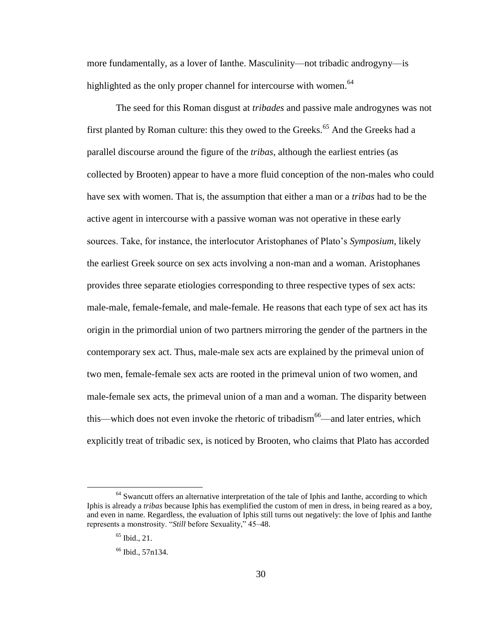more fundamentally, as a lover of Ianthe. Masculinity—not tribadic androgyny—is highlighted as the only proper channel for intercourse with women.<sup>64</sup>

The seed for this Roman disgust at *tribades* and passive male androgynes was not first planted by Roman culture: this they owed to the Greeks.<sup>65</sup> And the Greeks had a parallel discourse around the figure of the *tribas*, although the earliest entries (as collected by Brooten) appear to have a more fluid conception of the non-males who could have sex with women. That is, the assumption that either a man or a *tribas* had to be the active agent in intercourse with a passive woman was not operative in these early sources. Take, for instance, the interlocutor Aristophanes of Plato's *Symposium*, likely the earliest Greek source on sex acts involving a non-man and a woman. Aristophanes provides three separate etiologies corresponding to three respective types of sex acts: male-male, female-female, and male-female. He reasons that each type of sex act has its origin in the primordial union of two partners mirroring the gender of the partners in the contemporary sex act. Thus, male-male sex acts are explained by the primeval union of two men, female-female sex acts are rooted in the primeval union of two women, and male-female sex acts, the primeval union of a man and a woman. The disparity between this—which does not even invoke the rhetoric of tribadism<sup>66</sup>—and later entries, which explicitly treat of tribadic sex, is noticed by Brooten, who claims that Plato has accorded

 $64$  Swancutt offers an alternative interpretation of the tale of Iphis and Ianthe, according to which Iphis is already a *tribas* because Iphis has exemplified the custom of men in dress, in being reared as a boy, and even in name. Regardless, the evaluation of Iphis still turns out negatively: the love of Iphis and Ianthe represents a monstrosity. "*Still* before Sexuality," 45–48.

 $65$  Ibid., 21.

 $66$  Ibid., 57n134.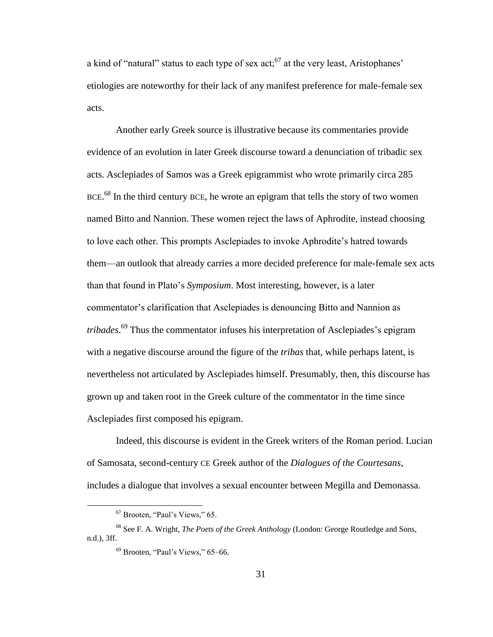a kind of "natural" status to each type of sex act;  $^{67}$  at the very least, Aristophanes' etiologies are noteworthy for their lack of any manifest preference for male-female sex acts.

Another early Greek source is illustrative because its commentaries provide evidence of an evolution in later Greek discourse toward a denunciation of tribadic sex acts. Asclepiades of Samos was a Greek epigrammist who wrote primarily circa 285 BCE.<sup>68</sup> In the third century BCE, he wrote an epigram that tells the story of two women named Bitto and Nannion. These women reject the laws of Aphrodite, instead choosing to love each other. This prompts Asclepiades to invoke Aphrodite's hatred towards them—an outlook that already carries a more decided preference for male-female sex acts than that found in Plato's *Symposium*. Most interesting, however, is a later commentator's clarification that Asclepiades is denouncing Bitto and Nannion as *tribades*. <sup>69</sup> Thus the commentator infuses his interpretation of Asclepiades's epigram with a negative discourse around the figure of the *tribas* that, while perhaps latent, is nevertheless not articulated by Asclepiades himself. Presumably, then, this discourse has grown up and taken root in the Greek culture of the commentator in the time since Asclepiades first composed his epigram.

Indeed, this discourse is evident in the Greek writers of the Roman period. Lucian of Samosata, second-century CE Greek author of the *Dialogues of the Courtesans*, includes a dialogue that involves a sexual encounter between Megilla and Demonassa.

<sup>67</sup> Brooten, "Paul's Views," 65.

<sup>68</sup> See F. A. Wright, *The Poets of the Greek Anthology* (London: George Routledge and Sons, n.d.), 3ff.

 $69$  Brooten, "Paul's Views," 65–66.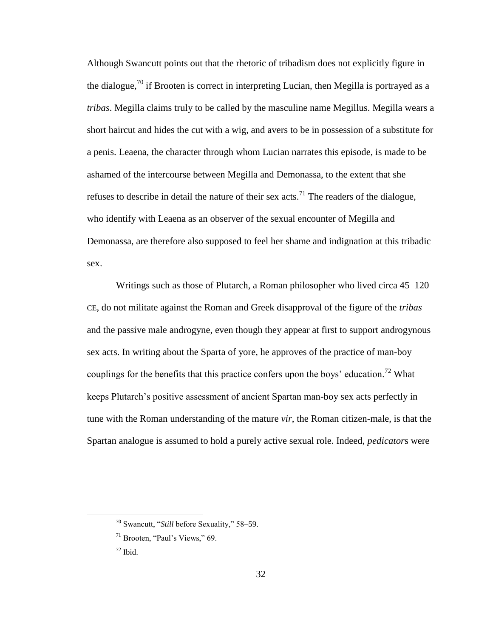Although Swancutt points out that the rhetoric of tribadism does not explicitly figure in the dialogue,<sup>70</sup> if Brooten is correct in interpreting Lucian, then Megilla is portrayed as a *tribas*. Megilla claims truly to be called by the masculine name Megillus. Megilla wears a short haircut and hides the cut with a wig, and avers to be in possession of a substitute for a penis. Leaena, the character through whom Lucian narrates this episode, is made to be ashamed of the intercourse between Megilla and Demonassa, to the extent that she refuses to describe in detail the nature of their sex acts.<sup>71</sup> The readers of the dialogue, who identify with Leaena as an observer of the sexual encounter of Megilla and Demonassa, are therefore also supposed to feel her shame and indignation at this tribadic sex.

Writings such as those of Plutarch, a Roman philosopher who lived circa 45–120 CE, do not militate against the Roman and Greek disapproval of the figure of the *tribas* and the passive male androgyne, even though they appear at first to support androgynous sex acts. In writing about the Sparta of yore, he approves of the practice of man-boy couplings for the benefits that this practice confers upon the boys' education.<sup>72</sup> What keeps Plutarch's positive assessment of ancient Spartan man-boy sex acts perfectly in tune with the Roman understanding of the mature *vir*, the Roman citizen-male, is that the Spartan analogue is assumed to hold a purely active sexual role. Indeed, *pedicator*s were

<sup>70</sup> Swancutt, "*Still* before Sexuality," 58–59.

 $71$  Brooten, "Paul's Views," 69.

 $72$  Ibid.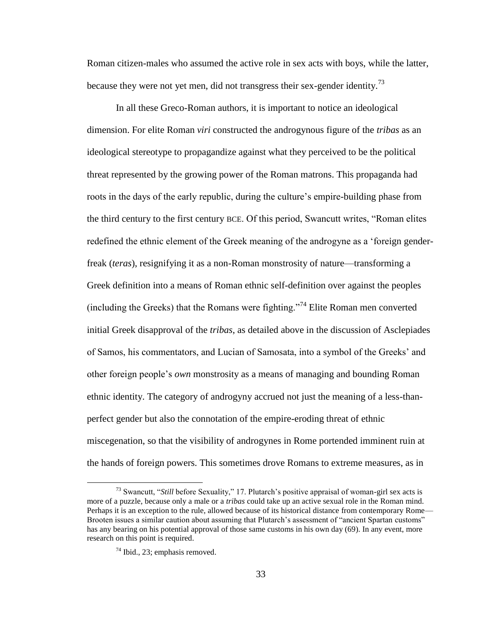Roman citizen-males who assumed the active role in sex acts with boys, while the latter, because they were not yet men, did not transgress their sex-gender identity.<sup>73</sup>

In all these Greco-Roman authors, it is important to notice an ideological dimension. For elite Roman *viri* constructed the androgynous figure of the *tribas* as an ideological stereotype to propagandize against what they perceived to be the political threat represented by the growing power of the Roman matrons. This propaganda had roots in the days of the early republic, during the culture's empire-building phase from the third century to the first century BCE. Of this period, Swancutt writes, "Roman elites redefined the ethnic element of the Greek meaning of the androgyne as a 'foreign genderfreak (*teras*), resignifying it as a non-Roman monstrosity of nature—transforming a Greek definition into a means of Roman ethnic self-definition over against the peoples (including the Greeks) that the Romans were fighting."<sup>74</sup> Elite Roman men converted initial Greek disapproval of the *tribas*, as detailed above in the discussion of Asclepiades of Samos, his commentators, and Lucian of Samosata, into a symbol of the Greeks' and other foreign people's *own* monstrosity as a means of managing and bounding Roman ethnic identity. The category of androgyny accrued not just the meaning of a less-thanperfect gender but also the connotation of the empire-eroding threat of ethnic miscegenation, so that the visibility of androgynes in Rome portended imminent ruin at the hands of foreign powers. This sometimes drove Romans to extreme measures, as in

<sup>73</sup> Swancutt, "*Still* before Sexuality," 17. Plutarch's positive appraisal of woman-girl sex acts is more of a puzzle, because only a male or a *tribas* could take up an active sexual role in the Roman mind. Perhaps it is an exception to the rule, allowed because of its historical distance from contemporary Rome— Brooten issues a similar caution about assuming that Plutarch's assessment of "ancient Spartan customs" has any bearing on his potential approval of those same customs in his own day (69). In any event, more research on this point is required.

<sup>74</sup> Ibid., 23; emphasis removed.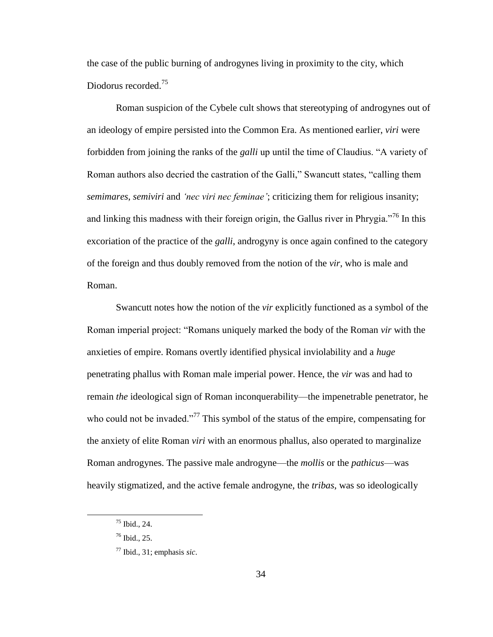the case of the public burning of androgynes living in proximity to the city, which Diodorus recorded.<sup>75</sup>

Roman suspicion of the Cybele cult shows that stereotyping of androgynes out of an ideology of empire persisted into the Common Era. As mentioned earlier, *viri* were forbidden from joining the ranks of the *galli* up until the time of Claudius. "A variety of Roman authors also decried the castration of the Galli," Swancutt states, "calling them *semimares*, *semiviri* and *'nec viri nec feminae'*; criticizing them for religious insanity; and linking this madness with their foreign origin, the Gallus river in Phrygia.<sup> $76$ </sup> In this excoriation of the practice of the *galli*, androgyny is once again confined to the category of the foreign and thus doubly removed from the notion of the *vir*, who is male and Roman.

Swancutt notes how the notion of the *vir* explicitly functioned as a symbol of the Roman imperial project: "Romans uniquely marked the body of the Roman *vir* with the anxieties of empire. Romans overtly identified physical inviolability and a *huge* penetrating phallus with Roman male imperial power. Hence, the *vir* was and had to remain *the* ideological sign of Roman inconquerability—the impenetrable penetrator, he who could not be invaded."<sup>77</sup> This symbol of the status of the empire, compensating for the anxiety of elite Roman *viri* with an enormous phallus, also operated to marginalize Roman androgynes. The passive male androgyne—the *mollis* or the *pathicus*—was heavily stigmatized, and the active female androgyne, the *tribas*, was so ideologically

<sup>75</sup> Ibid., 24.

<sup>76</sup> Ibid., 25.

<sup>77</sup> Ibid., 31; emphasis *sic*.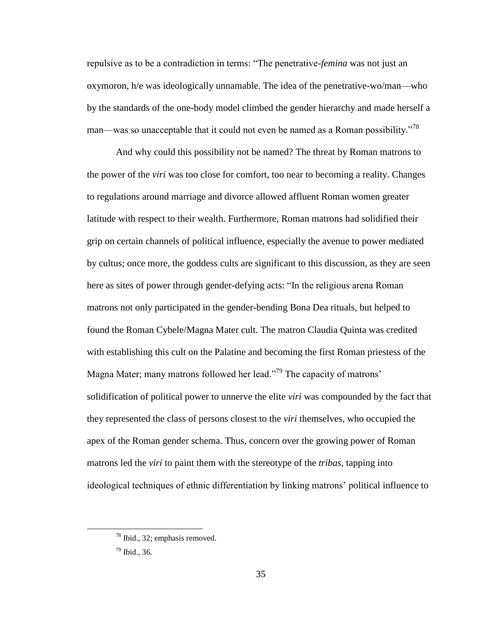repulsive as to be a contradiction in terms: "The penetrative-*femina* was not just an oxymoron, h/e was ideologically unnamable. The idea of the penetrative-wo/man—who by the standards of the one-body model climbed the gender hierarchy and made herself a man—was so unacceptable that it could not even be named as a Roman possibility.<sup>78</sup>

And why could this possibility not be named? The threat by Roman matrons to the power of the *viri* was too close for comfort, too near to becoming a reality. Changes to regulations around marriage and divorce allowed affluent Roman women greater latitude with respect to their wealth. Furthermore, Roman matrons had solidified their grip on certain channels of political influence, especially the avenue to power mediated by cultus; once more, the goddess cults are significant to this discussion, as they are seen here as sites of power through gender-defying acts: "In the religious arena Roman matrons not only participated in the gender-bending Bona Dea rituals, but helped to found the Roman Cybele/Magna Mater cult. The matron Claudia Quinta was credited with establishing this cult on the Palatine and becoming the first Roman priestess of the Magna Mater; many matrons followed her lead."<sup>79</sup> The capacity of matrons' solidification of political power to unnerve the elite *viri* was compounded by the fact that they represented the class of persons closest to the *viri* themselves, who occupied the apex of the Roman gender schema. Thus, concern over the growing power of Roman matrons led the *viri* to paint them with the stereotype of the *tribas*, tapping into ideological techniques of ethnic differentiation by linking matrons' political influence to

<sup>78</sup> Ibid., 32; emphasis removed.

<sup>79</sup> Ibid., 36.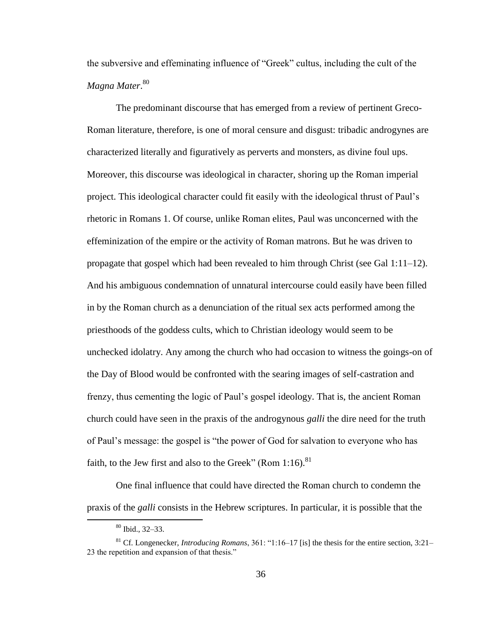the subversive and effeminating influence of "Greek" cultus, including the cult of the *Magna Mater*. 80

The predominant discourse that has emerged from a review of pertinent Greco-Roman literature, therefore, is one of moral censure and disgust: tribadic androgynes are characterized literally and figuratively as perverts and monsters, as divine foul ups. Moreover, this discourse was ideological in character, shoring up the Roman imperial project. This ideological character could fit easily with the ideological thrust of Paul's rhetoric in Romans 1. Of course, unlike Roman elites, Paul was unconcerned with the effeminization of the empire or the activity of Roman matrons. But he was driven to propagate that gospel which had been revealed to him through Christ (see Gal 1:11–12). And his ambiguous condemnation of unnatural intercourse could easily have been filled in by the Roman church as a denunciation of the ritual sex acts performed among the priesthoods of the goddess cults, which to Christian ideology would seem to be unchecked idolatry. Any among the church who had occasion to witness the goings-on of the Day of Blood would be confronted with the searing images of self-castration and frenzy, thus cementing the logic of Paul's gospel ideology. That is, the ancient Roman church could have seen in the praxis of the androgynous *galli* the dire need for the truth of Paul's message: the gospel is "the power of God for salvation to everyone who has faith, to the Jew first and also to the Greek" (Rom  $1:16$ ).<sup>81</sup>

One final influence that could have directed the Roman church to condemn the praxis of the *galli* consists in the Hebrew scriptures. In particular, it is possible that the

<sup>80</sup> Ibid., 32–33.

<sup>81</sup> Cf. Longenecker, *Introducing Romans*, 361: "1:16–17 [is] the thesis for the entire section, 3:21– 23 the repetition and expansion of that thesis."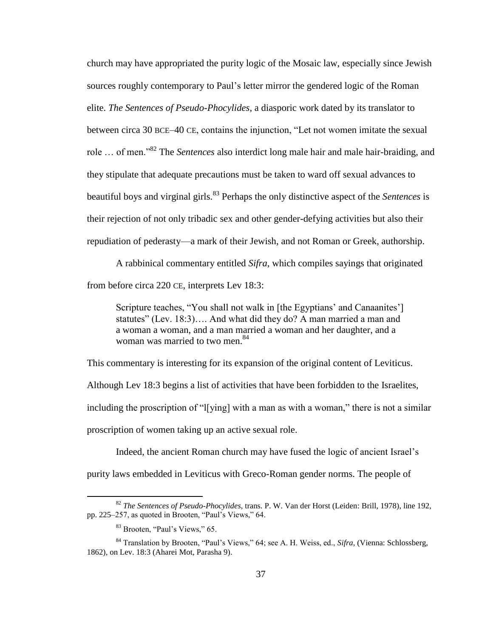church may have appropriated the purity logic of the Mosaic law, especially since Jewish sources roughly contemporary to Paul's letter mirror the gendered logic of the Roman elite. *The Sentences of Pseudo-Phocylides*, a diasporic work dated by its translator to between circa 30 BCE–40 CE, contains the injunction, "Let not women imitate the sexual role … of men."<sup>82</sup> The *Sentences* also interdict long male hair and male hair-braiding, and they stipulate that adequate precautions must be taken to ward off sexual advances to beautiful boys and virginal girls.<sup>83</sup> Perhaps the only distinctive aspect of the *Sentences* is their rejection of not only tribadic sex and other gender-defying activities but also their repudiation of pederasty—a mark of their Jewish, and not Roman or Greek, authorship.

A rabbinical commentary entitled *Sifra*, which compiles sayings that originated from before circa 220 CE, interprets Lev 18:3:

Scripture teaches, "You shall not walk in [the Egyptians' and Canaanites'] statutes" (Lev. 18:3)…. And what did they do? A man married a man and a woman a woman, and a man married a woman and her daughter, and a woman was married to two men.<sup>84</sup>

This commentary is interesting for its expansion of the original content of Leviticus. Although Lev 18:3 begins a list of activities that have been forbidden to the Israelites, including the proscription of "l[ying] with a man as with a woman," there is not a similar proscription of women taking up an active sexual role.

Indeed, the ancient Roman church may have fused the logic of ancient Israel's purity laws embedded in Leviticus with Greco-Roman gender norms. The people of

<sup>82</sup> *The Sentences of Pseudo-Phocylides*, trans. P. W. Van der Horst (Leiden: Brill, 1978), line 192, pp. 225–257, as quoted in Brooten, "Paul's Views," 64.

<sup>83</sup> Brooten, "Paul's Views," 65.

<sup>84</sup> Translation by Brooten, "Paul's Views," 64; see A. H. Weiss, ed., *Sifra*, (Vienna: Schlossberg, 1862), on Lev. 18:3 (Aharei Mot, Parasha 9).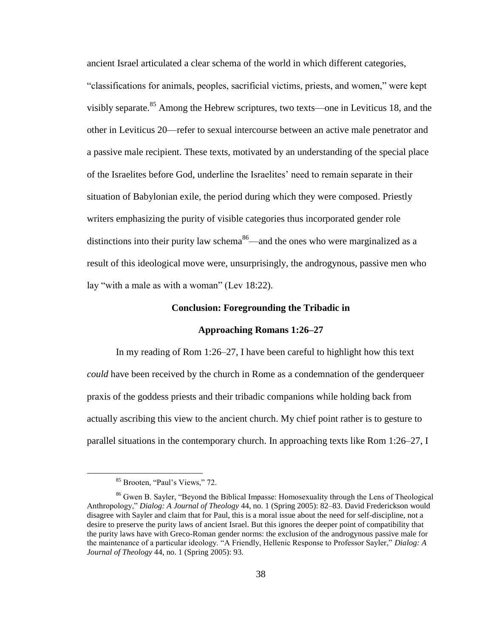ancient Israel articulated a clear schema of the world in which different categories,

"classifications for animals, peoples, sacrificial victims, priests, and women," were kept visibly separate.<sup>85</sup> Among the Hebrew scriptures, two texts—one in Leviticus 18, and the other in Leviticus 20—refer to sexual intercourse between an active male penetrator and a passive male recipient. These texts, motivated by an understanding of the special place of the Israelites before God, underline the Israelites' need to remain separate in their situation of Babylonian exile, the period during which they were composed. Priestly writers emphasizing the purity of visible categories thus incorporated gender role distinctions into their purity law schema<sup>86</sup>—and the ones who were marginalized as a result of this ideological move were, unsurprisingly, the androgynous, passive men who lay "with a male as with a woman" (Lev 18:22).

### **Conclusion: Foregrounding the Tribadic in**

### **Approaching Romans 1:26–27**

In my reading of Rom 1:26–27, I have been careful to highlight how this text *could* have been received by the church in Rome as a condemnation of the genderqueer praxis of the goddess priests and their tribadic companions while holding back from actually ascribing this view to the ancient church. My chief point rather is to gesture to parallel situations in the contemporary church. In approaching texts like Rom 1:26–27, I

<sup>&</sup>lt;sup>85</sup> Brooten, "Paul's Views," 72.

<sup>86</sup> Gwen B. Sayler, "Beyond the Biblical Impasse: Homosexuality through the Lens of Theological Anthropology," *Dialog: A Journal of Theology* 44, no. 1 (Spring 2005): 82–83. David Frederickson would disagree with Sayler and claim that for Paul, this is a moral issue about the need for self-discipline, not a desire to preserve the purity laws of ancient Israel. But this ignores the deeper point of compatibility that the purity laws have with Greco-Roman gender norms: the exclusion of the androgynous passive male for the maintenance of a particular ideology. "A Friendly, Hellenic Response to Professor Sayler," *Dialog: A Journal of Theology* 44, no. 1 (Spring 2005): 93.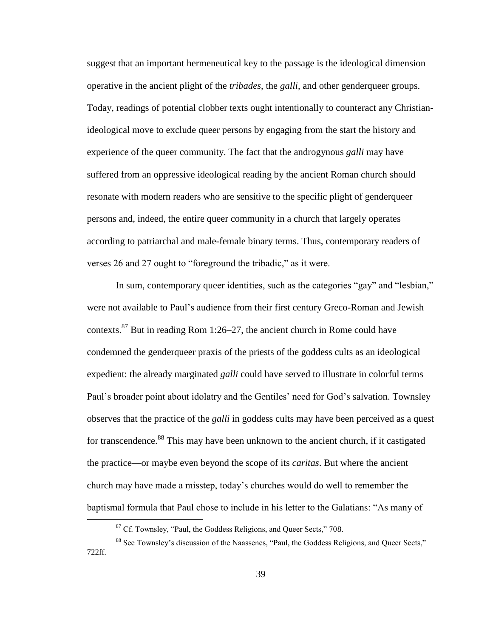suggest that an important hermeneutical key to the passage is the ideological dimension operative in the ancient plight of the *tribades*, the *galli*, and other genderqueer groups. Today, readings of potential clobber texts ought intentionally to counteract any Christianideological move to exclude queer persons by engaging from the start the history and experience of the queer community. The fact that the androgynous *galli* may have suffered from an oppressive ideological reading by the ancient Roman church should resonate with modern readers who are sensitive to the specific plight of genderqueer persons and, indeed, the entire queer community in a church that largely operates according to patriarchal and male-female binary terms. Thus, contemporary readers of verses 26 and 27 ought to "foreground the tribadic," as it were.

In sum, contemporary queer identities, such as the categories "gay" and "lesbian," were not available to Paul's audience from their first century Greco-Roman and Jewish contexts.<sup>87</sup> But in reading Rom 1:26–27, the ancient church in Rome could have condemned the genderqueer praxis of the priests of the goddess cults as an ideological expedient: the already marginated *galli* could have served to illustrate in colorful terms Paul's broader point about idolatry and the Gentiles' need for God's salvation. Townsley observes that the practice of the *galli* in goddess cults may have been perceived as a quest for transcendence.<sup>88</sup> This may have been unknown to the ancient church, if it castigated the practice—or maybe even beyond the scope of its *caritas*. But where the ancient church may have made a misstep, today's churches would do well to remember the baptismal formula that Paul chose to include in his letter to the Galatians: "As many of

<sup>&</sup>lt;sup>87</sup> Cf. Townsley, "Paul, the Goddess Religions, and Queer Sects," 708.

<sup>&</sup>lt;sup>88</sup> See Townsley's discussion of the Naassenes, "Paul, the Goddess Religions, and Queer Sects," 722ff.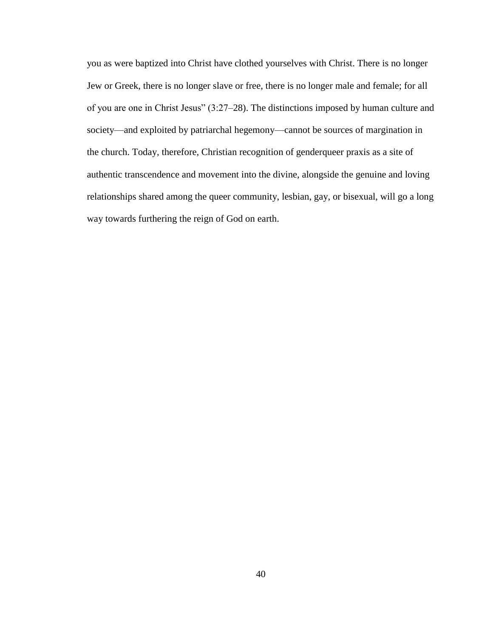you as were baptized into Christ have clothed yourselves with Christ. There is no longer Jew or Greek, there is no longer slave or free, there is no longer male and female; for all of you are one in Christ Jesus" (3:27–28). The distinctions imposed by human culture and society—and exploited by patriarchal hegemony—cannot be sources of margination in the church. Today, therefore, Christian recognition of genderqueer praxis as a site of authentic transcendence and movement into the divine, alongside the genuine and loving relationships shared among the queer community, lesbian, gay, or bisexual, will go a long way towards furthering the reign of God on earth.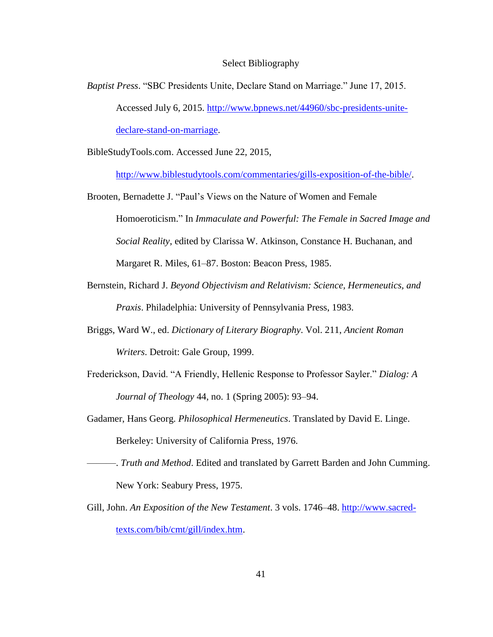### Select Bibliography

*Baptist Press*. "SBC Presidents Unite, Declare Stand on Marriage." June 17, 2015. Accessed July 6, 2015. [http://www.bpnews.net/44960/sbc-presidents-unite](http://www.bpnews.net/44960/sbc-presidents-unite-declare-stand-on-marriage)[declare-stand-on-marriage.](http://www.bpnews.net/44960/sbc-presidents-unite-declare-stand-on-marriage)

BibleStudyTools.com. Accessed June 22, 2015,

[http://www.biblestudytools.com/commentaries/gills-exposition-of-the-bible/.](http://www.biblestudytools.com/commentaries/gills-exposition-of-the-bible/)

- Brooten, Bernadette J. "Paul's Views on the Nature of Women and Female Homoeroticism." In *Immaculate and Powerful: The Female in Sacred Image and Social Reality*, edited by Clarissa W. Atkinson, Constance H. Buchanan, and Margaret R. Miles, 61–87. Boston: Beacon Press, 1985.
- Bernstein, Richard J. *Beyond Objectivism and Relativism: Science, Hermeneutics, and Praxis*. Philadelphia: University of Pennsylvania Press, 1983.
- Briggs, Ward W., ed. *Dictionary of Literary Biography*. Vol. 211, *Ancient Roman Writers*. Detroit: Gale Group, 1999.
- Frederickson, David. "A Friendly, Hellenic Response to Professor Sayler." *Dialog: A Journal of Theology* 44, no. 1 (Spring 2005): 93–94.
- Gadamer, Hans Georg. *Philosophical Hermeneutics*. Translated by David E. Linge. Berkeley: University of California Press, 1976.
- ———. *Truth and Method*. Edited and translated by Garrett Barden and John Cumming. New York: Seabury Press, 1975.
- Gill, John. *An Exposition of the New Testament*. 3 vols. 1746-48. [http://www.sacred](http://www.sacred-texts.com/bib/cmt/gill/index.htm)[texts.com/bib/cmt/gill/index.htm.](http://www.sacred-texts.com/bib/cmt/gill/index.htm)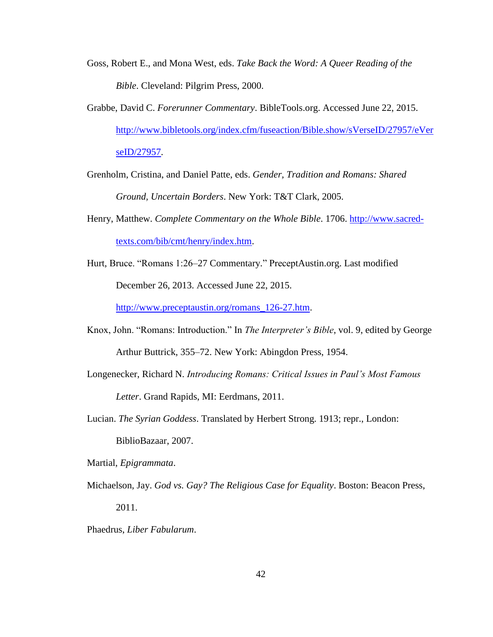- Goss, Robert E., and Mona West, eds. *Take Back the Word: A Queer Reading of the Bible*. Cleveland: Pilgrim Press, 2000.
- Grabbe, David C. *Forerunner Commentary*. BibleTools.org. Accessed June 22, 2015. [http://www.bibletools.org/index.cfm/fuseaction/Bible.show/sVerseID/27957/eVer](http://www.bibletools.org/index.cfm/fuseaction/Bible.show/sVerseID/27957/eVerseID/27957) [seID/27957.](http://www.bibletools.org/index.cfm/fuseaction/Bible.show/sVerseID/27957/eVerseID/27957)
- Grenholm, Cristina, and Daniel Patte, eds. *Gender, Tradition and Romans: Shared Ground, Uncertain Borders*. New York: T&T Clark, 2005.
- Henry, Matthew. *Complete Commentary on the Whole Bible*. 1706. [http://www.sacred](http://www.sacred-texts.com/bib/cmt/henry/index.htm)[texts.com/bib/cmt/henry/index.htm.](http://www.sacred-texts.com/bib/cmt/henry/index.htm)
- Hurt, Bruce. "Romans 1:26–27 Commentary." PreceptAustin.org. Last modified December 26, 2013. Accessed June 22, 2015.

[http://www.preceptaustin.org/romans\\_126-27.htm.](http://www.preceptaustin.org/romans_126-27.htm)

- Knox, John. "Romans: Introduction." In *The Interpreter's Bible*, vol. 9, edited by George Arthur Buttrick, 355–72. New York: Abingdon Press, 1954.
- Longenecker, Richard N. *Introducing Romans: Critical Issues in Paul's Most Famous Letter*. Grand Rapids, MI: Eerdmans, 2011.

Lucian. *The Syrian Goddess*. Translated by Herbert Strong. 1913; repr., London: BiblioBazaar, 2007.

Martial, *Epigrammata*.

- Michaelson, Jay. *God vs. Gay? The Religious Case for Equality*. Boston: Beacon Press, 2011.
- Phaedrus, *Liber Fabularum*.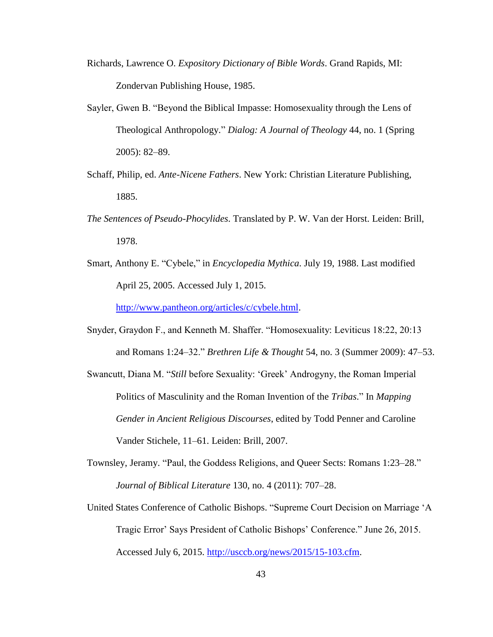- Richards, Lawrence O. *Expository Dictionary of Bible Words*. Grand Rapids, MI: Zondervan Publishing House, 1985.
- Sayler, Gwen B. "Beyond the Biblical Impasse: Homosexuality through the Lens of Theological Anthropology." *Dialog: A Journal of Theology* 44, no. 1 (Spring 2005): 82–89.
- Schaff, Philip, ed. *Ante-Nicene Fathers*. New York: Christian Literature Publishing, 1885.
- *The Sentences of Pseudo-Phocylides*. Translated by P. W. Van der Horst. Leiden: Brill, 1978.
- Smart, Anthony E. "Cybele," in *Encyclopedia Mythica*. July 19, 1988. Last modified April 25, 2005. Accessed July 1, 2015.

[http://www.pantheon.org/articles/c/cybele.html.](javascript:void(0))

- Snyder, Graydon F., and Kenneth M. Shaffer. "Homosexuality: Leviticus 18:22, 20:13 and Romans 1:24–32." *Brethren Life & Thought* 54, no. 3 (Summer 2009): 47–53.
- Swancutt, Diana M. "*Still* before Sexuality: 'Greek' Androgyny, the Roman Imperial Politics of Masculinity and the Roman Invention of the *Tribas*." In *Mapping Gender in Ancient Religious Discourses*, edited by Todd Penner and Caroline Vander Stichele, 11–61. Leiden: Brill, 2007.
- Townsley, Jeramy. "Paul, the Goddess Religions, and Queer Sects: Romans 1:23–28." *Journal of Biblical Literature* 130, no. 4 (2011): 707–28.
- United States Conference of Catholic Bishops. "Supreme Court Decision on Marriage 'A Tragic Error' Says President of Catholic Bishops' Conference." June 26, 2015. Accessed July 6, 2015. [http://usccb.org/news/2015/15-103.cfm.](http://usccb.org/news/2015/15-103.cfm)